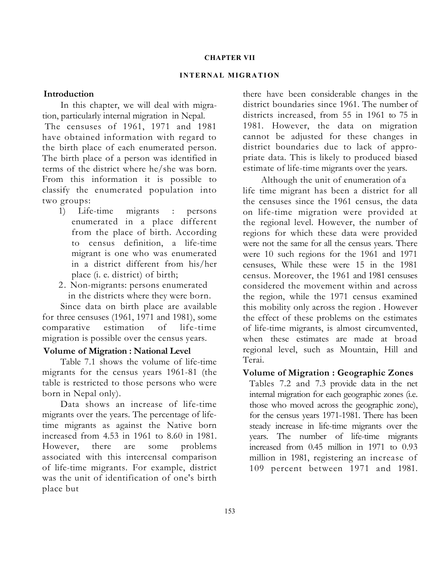#### CHAPTER VII

### **INTERNAL MIGRATION**

### Introduction

In this chapter, we will deal with migration, particularly internal migration in Nepal.

The censuses of 1961, 1971 and 1981 have obtained information with regard to the birth place of each enumerated person. The birth place of a person was identified in terms of the district where he/she was born. From this information it is possible to classify the enumerated population into two groups:

- 1) Life-time migrants : persons enumerated in a place different from the place of birth. According to census definition, a life-time migrant is one who was enumerated in a district different from his/her place (i. e. district) of birth;
- 2. Non-migrants: persons enumerated in the districts where they were born.

Since data on birth place are available for three censuses (1961, 1971 and 1981), some comparative estimation of life-time migration is possible over the census years.

### Volume of Migration : National Level

Table 7.1 shows the volume of life-time migrants for the census years 1961-81 (the table is restricted to those persons who were born in Nepal only).

Data shows an increase of life-time migrants over the years. The percentage of lifetime migrants as against the Native born increased from 4.53 in 1961 to 8.60 in 1981. However, there are some problems associated with this intercensal comparison of life-time migrants. For example, district was the unit of identification of one's birth place but

there have been considerable changes in the district boundaries since 1961. The number of districts increased, from 55 in 1961 to 75 in 1981. However, the data on migration cannot be adjusted for these changes in district boundaries due to lack of appropriate data. This is likely to produced biased estimate of life-time migrants over the years.

Although the unit of enumeration of a life time migrant has been a district for all the censuses since the 1961 census, the data on life-time migration were provided at the regional level. However, the number of regions for which these data were provided were not the same for all the census years. There were 10 such regions for the 1961 and 1971 censuses, While these were 15 in the 1981 census. Moreover, the 1961 and 1981 censuses considered the movement within and across the region, while the 1971 census examined this mobility only across the region . However the effect of these problems on the estimates of life-time migrants, is almost circumvented, when these estimates are made at broad regional level, such as Mountain, Hill and Terai.

### Volume of Migration : Geographic Zones

Tables 7.2 and 7.3 provide data in the net internal migration for each geographic zones (i.e. those who moved across the geographic zone), for the census years 1971-1981. There has been steady increase in life-time migrants over the years. The number of life-time migrants increased from 0.45 million in 1971 to 0.93 million in 1981, registering an increase of 109 percent between 1971 and 1981.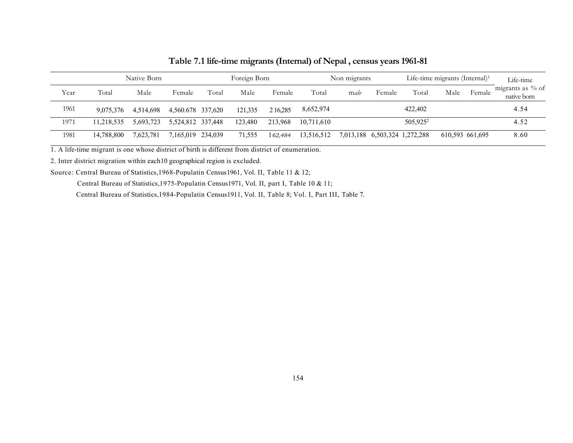|      | Native Born |           |                   |       | Foreign Born |          |            | Non migrants |                               |             | Life-time migrants (Internal) <sup>1</sup> |                                 |  |
|------|-------------|-----------|-------------------|-------|--------------|----------|------------|--------------|-------------------------------|-------------|--------------------------------------------|---------------------------------|--|
| Year | Total       | Male      | Female            | Total | Male         | Female   | Total      | male         | Female                        | Total       | Male<br>Female                             | migrants as % of<br>native born |  |
| 1961 | 9.075.376   | 4.514.698 | 4,560.678 337,620 |       | 121.335      | 2 16.285 | 8,652,974  |              |                               | 422,402     |                                            | 4.54                            |  |
| 1971 | 11.218.535  | 5.693.723 | 5,524,812 337,448 |       | 123,480      | 213,968  | 10.711.610 |              |                               | $505,925^2$ |                                            | 4.52                            |  |
| 1981 | 14.788.800  | 7.623.781 | 7.165.019 234.039 |       | 71.555       | 162.484  | 13,516,512 |              | 7,013,188 6,503,324 1,272,288 |             | 610,593 661,695                            | 8.60                            |  |

Table 7.1 life-time migrants (Internal) of Nepal , census years 1961-81

1. A life-time migrant is one whose district of birth is different from district of enumeration.

2. Inter district migration within each10 geographical region is excluded.

Source: Central Bureau of Statistics,1968-Populatin Census1961, Vol. II, Table 11 & 12;

Central Bureau of Statistics,1975-Populatin Census1971, Vol. II, part I, Table 10 & 11;

Central Bureau of Statistics,1984-Populatin Census1911, Vol. II, Table 8; Vol. I, Part III, Table 7.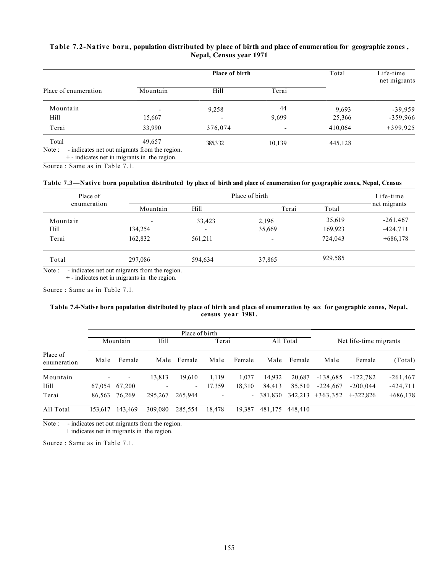### Table 7.2-Native born, population distributed by place of birth and place of enumeration for geographic zones , Nepal, Census year 1971

|                      |                                                                                                 | Place of birth | Total                        | Life-time<br>net migrants |            |
|----------------------|-------------------------------------------------------------------------------------------------|----------------|------------------------------|---------------------------|------------|
| Place of enumeration | Mountain                                                                                        | Hill           | Terai                        |                           |            |
| Mountain             |                                                                                                 | 9,258          | 44                           | 9,693                     | $-39,959$  |
| Hill                 | 15,667                                                                                          |                | 9,699                        | 25,366                    | $-359,966$ |
| Terai                | 33,990                                                                                          | 376,074        | $\qquad \qquad \blacksquare$ | 410,064                   | $+399,925$ |
| Total                | 49,657                                                                                          | 385332         | 10,139                       | 445,128                   |            |
| Note:                | - indicates net out migrants from the region.<br>$+$ - indicates net in migrants in the region. |                |                              |                           |            |

Source : Same as in Table 7.1.

#### Table 7.3—Native born population distributed by place of birth and place of enumeration for geographic zones, Nepal, Census

| Place of    |          | Place of birth           |        |         |              |  |  |  |  |
|-------------|----------|--------------------------|--------|---------|--------------|--|--|--|--|
| enumeration | Mountain | Hill                     | Terai  | Total   | net migrants |  |  |  |  |
| Mountain    |          | 33,423                   | 2,196  | 35,619  | $-261,467$   |  |  |  |  |
| Hill        | 134,254  | $\overline{\phantom{a}}$ | 35,669 | 169,923 | $-424,711$   |  |  |  |  |
| Terai       | 162,832  | 561,211                  |        | 724,043 | $+686,178$   |  |  |  |  |
| Total       | 297,086  | 594.634                  | 37,865 | 929,585 |              |  |  |  |  |

Source : Same as in Table 7.1.

#### Table 7.4-Native born population distributed by place of birth and place of enumeration by sex for geographic zones, Nepal, census year 1981.

|                         |         |                          |         | Place of birth           |                          |        |         |           |            |                        |            |
|-------------------------|---------|--------------------------|---------|--------------------------|--------------------------|--------|---------|-----------|------------|------------------------|------------|
|                         |         | Mountain                 | Hill    |                          | Terai                    |        |         | All Total |            | Net life-time migrants |            |
| Place of<br>enumeration | Male    | Female                   | Male    | Female                   | Male                     | Female | Male    | Female    | Male       | Female                 | (Total)    |
| Mountain                |         | $\overline{\phantom{a}}$ | 13,813  | 19,610                   | 1,119                    | 1,077  | 14.932  | 20,687    | $-138,685$ | $-122,782$             | $-261,467$ |
| Hill                    | 67,054  | 67,200                   |         | $\overline{\phantom{a}}$ | 17,359                   | 18,310 | 84.413  | 85,510    | $-224.667$ | $-200.044$             | $-424,711$ |
| Terai                   | 86,563  | 76,269                   | 295,267 | 265,944                  | $\overline{\phantom{0}}$ |        | 381,830 | 342,213   | $+363,352$ | $+322.826$             | $+686,178$ |
| All Total               | 153.617 | 143.469                  | 309,080 | 285,554                  | 18.478                   | 19,387 | 481,175 | 448.410   |            |                        |            |

Note : - indicates net out migrants from the region. + indicates net in migrants in the region.

Source : Same as in Table 7.1.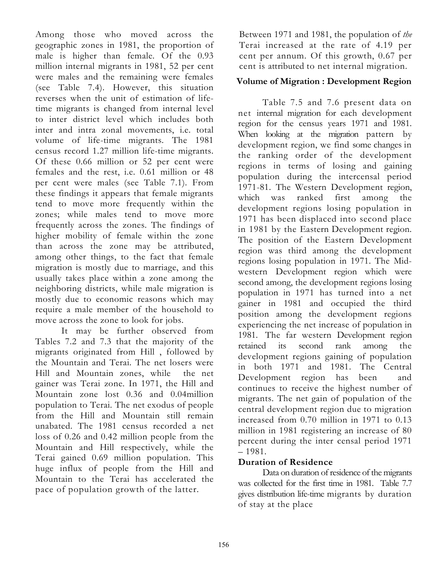Among those who moved across the geographic zones in 1981, the proportion of male is higher than female. Of the 0.93 million internal migrants in 1981, 52 per cent were males and the remaining were females (see Table 7.4). However, this situation reverses when the unit of estimation of lifetime migrants is changed from internal level to inter district level which includes both inter and intra zonal movements, i.e. total volume of life-time migrants. The 1981 census record 1.27 million life-time migrants. Of these 0.66 million or 52 per cent were females and the rest, i.e. 0.61 million or 48 per cent were males (see Table 7.1). From these findings it appears that female migrants tend to move more frequently within the zones; while males tend to move more frequently across the zones. The findings of higher mobility of female within the zone than across the zone may be attributed, among other things, to the fact that female migration is mostly due to marriage, and this usually takes place within a zone among the neighboring districts, while male migration is mostly due to economic reasons which may require a male member of the household to move across the zone to look for jobs.

It may be further observed from Tables 7.2 and 7.3 that the majority of the migrants originated from Hill , followed by the Mountain and Terai. The net losers were Hill and Mountain zones, while the net gainer was Terai zone. In 1971, the Hill and Mountain zone lost 0.36 and 0.04million population to Terai. The net exodus of people from the Hill and Mountain still remain unabated. The 1981 census recorded a net loss of 0.26 and 0.42 million people from the Mountain and Hill respectively, while the Terai gained 0.69 million population. This huge influx of people from the Hill and Mountain to the Terai has accelerated the pace of population growth of the latter.

Between 1971 and 1981, the population of *the* Terai increased at the rate of 4.19 per cent per annum. Of this growth, 0.67 per cent is attributed to net internal migration.

# Volume of Migration : Development Region

Table 7.5 and 7.6 present data on net internal migration for each development region for the census years 1971 and 1981. When looking at the migration pattern by development region, we find some changes in the ranking order of the development regions in terms of losing and gaining population during the intercensal period 1971-81. The Western Development region, which was ranked first among the development regions losing population in 1971 has been displaced into second place in 1981 by the Eastern Development region. The position of the Eastern Development region was third among the development regions losing population in 1971. The Midwestern Development region which were second among, the development regions losing population in 1971 has turned into a net gainer in 1981 and occupied the third position among the development regions experiencing the net increase of population in 1981. The far western Development region retained its second rank among the development regions gaining of population in both 1971 and 1981. The Central Development region has been and continues to receive the highest number of migrants. The net gain of population of the central development region due to migration increased from 0.70 million in 1971 to 0.13 million in 1981 registering an increase of 80 percent during the inter censal period 1971 – 1981.

# Duration of Residence

Data on duration of residence of the migrants was collected for the first time in 1981. Table 7.7 gives distribution life-time migrants by duration of stay at the place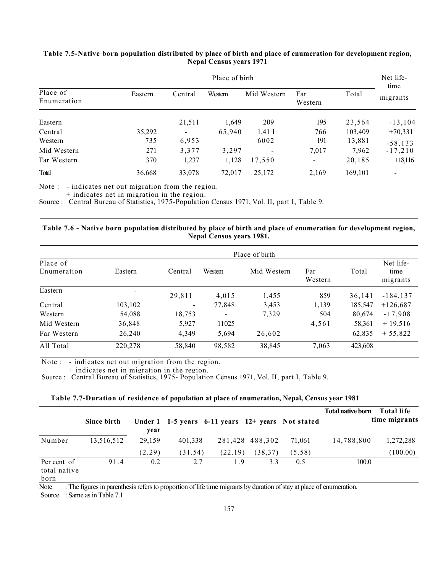|                         |         |                          | Place of birth |             |                          |         |                          |  |  |  |
|-------------------------|---------|--------------------------|----------------|-------------|--------------------------|---------|--------------------------|--|--|--|
| Place of<br>Enumeration | Eastern | Central                  | Western        | Mid Western | Far<br>Western           | Total   | time<br>migrants         |  |  |  |
| Eastern                 |         | 21,511                   | 1,649          | 209         | 195                      | 23,564  | $-13, 104$               |  |  |  |
| Central                 | 35,292  | $\overline{\phantom{a}}$ | 65,940         | 1,411       | 766                      | 103,409 | $+70,331$                |  |  |  |
| Western                 | 735     | 6,953                    |                | 6002        | 191                      | 13,881  | $-58, 133$               |  |  |  |
| Mid Western             | 271     | 3,377                    | 3,297          |             | 7,017                    | 7,962   | $-17,210$                |  |  |  |
| Far Western             | 370     | 1,237                    | 1,128          | 17,550      | $\overline{\phantom{a}}$ | 20,185  | $+18,116$                |  |  |  |
| Total                   | 36,668  | 33,078                   | 72,017         | 25,172      | 2,169                    | 169,101 | $\overline{\phantom{0}}$ |  |  |  |

#### Table 7.5-Native born population distributed by place of birth and place of enumeration for development region, Nepal Census years 1971

Note : - indicates net out migration from the region.

+ indicates net in migration in the region.

Source : Central Bureau of Statistics, 1975-Population Census 1971, Vol. II, part I, Table 9.

#### Table 7.6 - Native born population distributed by place of birth and place of enumeration for development region, Nepal Census years 1981.

|                         |         |                          |         | Place of birth |                |         |                               |
|-------------------------|---------|--------------------------|---------|----------------|----------------|---------|-------------------------------|
| Place of<br>Enumeration | Eastern | Central                  | Western | Mid Western    | Far<br>Western | Total   | Net life-<br>time<br>migrants |
| Eastern                 | -       | 29,811                   | 4,015   | 1,455          | 859            | 36,141  | $-184, 137$                   |
| Central                 | 103,102 | $\overline{\phantom{a}}$ | 77,848  | 3,453          | 1,139          | 185,547 | $+126,687$                    |
| Western                 | 54,088  | 18,753                   |         | 7,329          | 504            | 80,674  | $-17,908$                     |
| Mid Western             | 36,848  | 5,927                    | 11025   |                | 4,561          | 58,361  | $+19,516$                     |
| Far Western             | 26,240  | 4,349                    | 5,694   | 26,602         |                | 62,835  | $+55,822$                     |
| All Total               | 220,278 | 58,840                   | 98,582  | 38,845         | 7,063          | 423,608 |                               |

Note : - indicates net out migration from the region.

+ indicates net in migration in the region.

Source : Central Bureau of Statistics, 1975- Population Census 1971, Vol. II, part I, Table 9.

| Table 7.7-Duration of residence of population at place of enumeration, Nepal, Census year 1981 |  |  |  |
|------------------------------------------------------------------------------------------------|--|--|--|
|                                                                                                |  |  |  |

|                             | Since birth | year   |         | Under 1 1-5 years 6-11 years 12+ years Not stated |                 |        | <b>Total native born</b> | Total life<br>time migrants |
|-----------------------------|-------------|--------|---------|---------------------------------------------------|-----------------|--------|--------------------------|-----------------------------|
| Number                      | 13,516,512  | 29.159 | 401.338 |                                                   | 281,428 488,302 | 71,061 | 14,788,800               | 1,272,288                   |
|                             |             | (2.29) | (31.54) | (22.19)                                           | (38, 37)        | (5.58) |                          | (100.00)                    |
| Per cent of<br>total native | 91.4        | 0.2    | 2.7     | 1.9                                               | 3.3             | 0.5    | 100.0                    |                             |

born

Note : The figures in parenthesis refers to proportion of life time migrants by duration of stay at place of enumeration.

Source : Same as in Table 7.1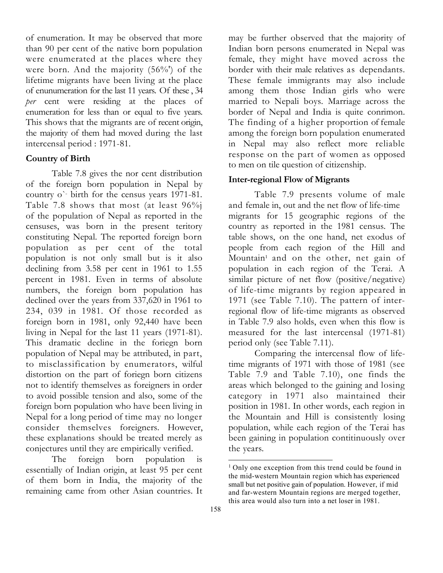of enumeration. It may be observed that more than 90 per cent of the native born population were enumerated at the places where they were born. And the majority (56%') of the lifetime migrants have been living at the place of enunumeration for the last 11 years. Of these , 34 per cent were residing at the places of enumeration for less than or equal to five years. This shows that the migrants are of recent origin, the majority of them had moved during the last intercensal period : 1971-81.

## Country of Birth

Table 7.8 gives the nor cent distribution of the foreign born population in Nepal by country o`- birth for the census years 1971-81. Table 7.8 shows that most (at least 96%j of the population of Nepal as reported in the censuses, was born in the present teritory constituting Nepal. The reported foreign born population as per cent of the total population is not only small but is it also declining from 3.58 per cent in 1961 to 1.55 percent in 1981. Even in terms of absolute numbers, the foreign born population has declined over the years from 337,620 in 1961 to 234, 039 in 1981. Of those recorded as foreign born in 1981, only 92,440 have been living in Nepal for the last 11 years (1971-81). This dramatic decline in the foriegn born population of Nepal may be attributed, in part, to misclassification by enumerators, wilful distortion on the part of foriegn born citizens not to identify themselves as foreigners in order to avoid possible tension and also, some of the foreign born population who have been living in Nepal for a long period of time may no longer consider themselves foreigners. However, these explanations should be treated merely as conjectures until they are empirically verified.

The foreign born population is essentially of Indian origin, at least 95 per cent of them born in India, the majority of the remaining came from other Asian countries. It

may be further observed that the majority of Indian born persons enumerated in Nepal was female, they might have moved across the border with their male relatives as dependants. These female immigrants may also include among them those Indian girls who were married to Nepali boys. Marriage across the border of Nepal and India is quite conrimon. The finding of a higher proportion of female among the foreign born population enumerated in Nepal may also reflect more reliable response on the part of women as opposed to men on tile question of citizenship.

## Inter-regional Flow of Migrants

Table 7.9 presents volume of male and female in, out and the net flow of life-time migrants for 15 geographic regions of the country as reported in the 1981 census. The table shows, on the one hand, net exodus of people from each region of the Hill and Mountain<sup>1</sup> and on the other, net gain of population in each region of the Terai. A similar picture of net flow (positive/negative) of life-time migrants by region appeared in 1971 (see Table 7.10). The pattern of interregional flow of life-time migrants as observed in Table 7.9 also holds, even when this flow is measured for the last intercensal (1971-81) period only (see Table 7.11).

Comparing the intercensal flow of lifetime migrants of 1971 with those of 1981 (see Table 7.9 and Table 7.10), one finds the areas which belonged to the gaining and losing category in 1971 also maintained their position in 1981. In other words, each region in the Mountain and Hill is consistently losing population, while each region of the Terai has been gaining in population contitinuously over the years.

<sup>&</sup>lt;sup>1</sup> Only one exception from this trend could be found in the mid-western Mountain region which has experienced small but net positive gain of population. However, if mid and far-western Mountain regions are merged together, this area would also turn into a net loser in 1981.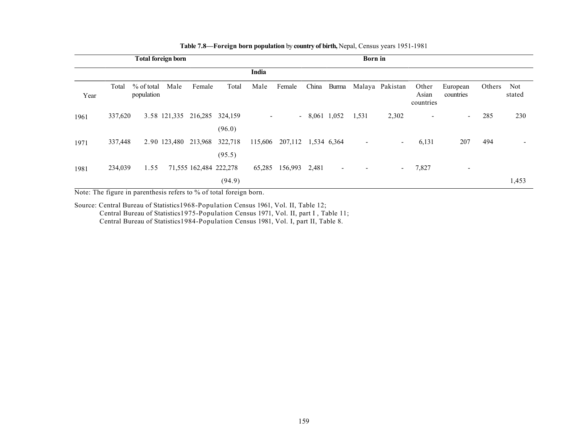|      |         |                            | <b>Total foreign born</b> |                              |                   |        |                             |                |                | <b>Born</b> in           |                          |                             |                          |        |               |
|------|---------|----------------------------|---------------------------|------------------------------|-------------------|--------|-----------------------------|----------------|----------------|--------------------------|--------------------------|-----------------------------|--------------------------|--------|---------------|
|      |         |                            |                           |                              |                   | India  |                             |                |                |                          |                          |                             |                          |        |               |
| Year | Total   | $%$ of total<br>population | Male                      | Female                       | Total             | Male   | Female                      | China          |                |                          | Burma Malaya Pakistan    | Other<br>Asian<br>countries | European<br>countries    | Others | Not<br>stated |
| 1961 | 337,620 |                            |                           | 3.58 121,335 216,285 324,159 | (96.0)            |        |                             | $-8,061$ 1,052 |                | 1,531                    | 2,302                    | $\overline{\phantom{a}}$    | $\blacksquare$           | 285    | 230           |
| 1971 | 337,448 |                            | 2.90 123,480              | 213,968                      | 322,718<br>(95.5) |        | 115,606 207,112 1,534 6,364 |                |                | $\overline{\phantom{a}}$ | $\sim$                   | 6,131                       | 207                      | 494    |               |
| 1981 | 234,039 | 1.55                       |                           | 71,555 162,484 222,278       | (94.9)            | 65,285 | 156,993                     | 2,481          | $\blacksquare$ |                          | $\overline{\phantom{a}}$ | 7,827                       | $\overline{\phantom{0}}$ |        | 1,453         |

#### Table 7.8—Foreign born population by country of birth, Nepal, Census years 1951-1981

Note: The figure in parenthesis refers to % of total foreign born.

Source: Central Bureau of Statistics1968-Population Census 1961, Vol. II, Table 12; Central Bureau of Statistics1975-Population Census 1971, Vol. II, part I , Table 11; Central Bureau of Statistics1984-Population Census 1981, Vol. I, part II, Table 8.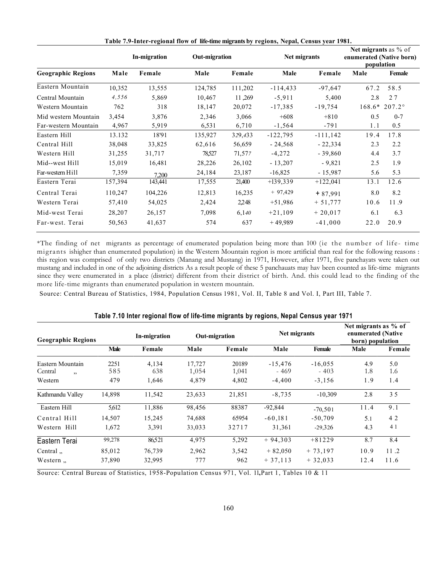|                           |         | In-migration | <b>Out-migration</b> |         | Net migrants |            | Net migrants as % of<br>enumerated (Native born)<br>population |               |
|---------------------------|---------|--------------|----------------------|---------|--------------|------------|----------------------------------------------------------------|---------------|
| <b>Geographic Regions</b> | Male    | Female       | Male                 | Female  | Male         | Female     | Male                                                           | Female        |
| Eastern Mountain          | 10,352  | 13,555       | 124,785              | 111,202 | $-114,433$   | $-97,647$  | 67.2                                                           | 58.5          |
| Central Mountain          | 4,556   | 5,869        | 10,467               | 11,269  | $-5,911$     | 5,400      | 2.8                                                            | 27            |
| Western Mountain          | 762     | 318          | 18,147               | 20,072  | $-17,385$    | $-19,754$  | $168.6*$                                                       | $207.2^\circ$ |
| Mid western Mountain      | 3,454   | 3,876        | 2,346                | 3,066   | $+608$       | $+810$     | 0.5                                                            | $0 - 7$       |
| Far-western Mountain      | 4,967   | 5,919        | 6,531                | 6,710   | $-1,564$     | $-791$     | 1.1                                                            | 0.5           |
| Eastern Hill              | 13.132  | 18'91        | 135,927              | 329,433 | $-122,795$   | $-111,142$ | 19.4                                                           | 17.8          |
| Central Hill              | 38,048  | 33,825       | 62,616               | 56,659  | $-24,568$    | $-22,334$  | 2.3                                                            | 2.2           |
| Western Hill              | 31,255  | 31,717       | 78,527               | 71,577  | $-4,272$     | $-39,860$  | 4.4                                                            | 3.7           |
| Mid--west Hill            | 15,019  | 16,481       | 28,226               | 26,102  | $-13,207$    | $-9,821$   | 2.5                                                            | 1.9           |
| Far-western Hill          | 7,359   | 7.200        | 24,184               | 23,187  | $-16,825$    | $-15,987$  | 5.6                                                            | 5.3           |
| Eastern Terai             | 157,394 | 143,441      | 17,555               | 21,400  | $+139,339$   | $+122,041$ | 13.1                                                           | 12.6          |
| Central Terai             | 110,247 | 104,226      | 12,813               | 16,235  | $+97,429$    | $+87,991$  | 8.0                                                            | 8.2           |
| Western Terai             | 57,410  | 54,025       | 2,424                | 2,248   | $+51,986$    | $+51,777$  | 10.6                                                           | 11.9          |
| Mid-west Terai            | 28,207  | 26,157       | 7,098                | 6,140   | $+21,109$    | $+20,017$  | 6.1                                                            | 6.3           |
| Far-west. Terai           | 50,563  | 41,637       | 574                  | 637     | $+49,989$    | $-41,000$  | 22.0                                                           | 20.9          |

Table 7.9-Inter-regional flow of life-time migrants by regions, Nepal, Census year 1981.

\*The finding of net migrants as percentage of enumerated population being more than 100 (ie the number of life- time migrants ishigher than enumerated population) in the Western Mountain region is more artificial than real for the following reasons : this region was comprised of only two districts (Manang and Mustang) in 1971, However, after 1971, five panchayats were taken out mustang and included in one of the adjoining districts As a result people of these 5 panchauats may hav been counted as life-time migrants since they were enumerated in a place (district) different from their district of birth. And. this could lead to the finding of the more life-time migrants than enumerated population in western mountain.

Source: Central Bureau of Statistics, 1984, Population Census 1981, Vol. II, Table 8 and Vol. I, Part III, Table 7.

| <b>Geographic Regions</b> |        | In-migration |        | <b>Out-migration</b> | Net migrants |           | Net migrants as % of<br>enumerated (Native<br>born) population |        |
|---------------------------|--------|--------------|--------|----------------------|--------------|-----------|----------------------------------------------------------------|--------|
|                           | Male   | Female       | Male   | Female               | Male         | Female    | Male                                                           | Female |
| Eastern Mountain          | 2251   | 4,134        | 17,727 | 20189                | $-15,476$    | $-16,055$ | 4.9                                                            | 5.0    |
| Central<br>,              | 585    | 638          | 1,054  | 1,041                | - 469        | $-403$    | 1.8                                                            | 1.6    |
| Western                   | 479    | 1,646        | 4,879  | 4,802                | $-4,400$     | $-3,156$  | 1.9                                                            | 1.4    |
| Kathmandu Valley          | 14,898 | 11,542       | 23,633 | 21,851               | $-8,735$     | $-10,309$ | 2.8                                                            | 35     |
| Eastern Hill              | 5,612  | 11,886       | 98,456 | 88387                | $-92,844$    | $-70,501$ | 11.4                                                           | 9.1    |
| Central Hill              | 14,507 | 15,245       | 74,688 | 65954                | $-60,181$    | $-50,709$ | 5.1                                                            | 4 2    |
| Western Hill              | 1,672  | 3,391        | 33,033 | 32717                | 31,361       | $-29,326$ | 4.3                                                            | 4 1    |
| Eastern Terai             | 99,278 | 86.521       | 4,975  | 5,292                | $+94,303$    | $+81229$  | 8.7                                                            | 8.4    |
| Central $\,$ ,            | 85,012 | 76,739       | 2,962  | 3,542                | $+82,050$    | $+73,197$ | 10.9                                                           | 11.2   |
| Western $\ldots$          | 37,890 | 32,995       | 777    | 962                  | $+37,113$    | $+32,033$ | 12.4                                                           | 11.6   |

| Table 7.10 Inter regional flow of life-time migrants by regions, Nepal Census year 1971 |  |  |
|-----------------------------------------------------------------------------------------|--|--|
|-----------------------------------------------------------------------------------------|--|--|

Source: Central Bureau of Statistics, 1958-Population Census 971, Vol. 11, Part 1, Tables 10 & 11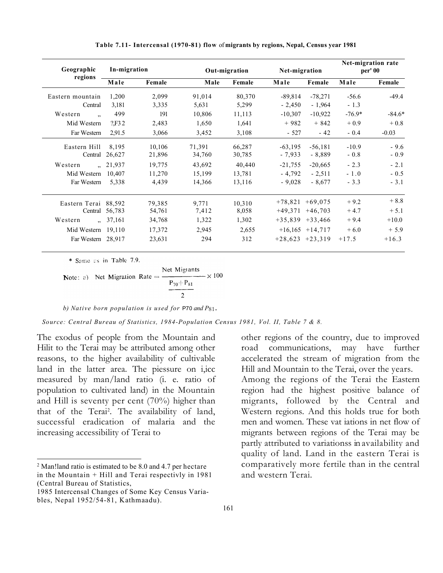| Geographic                      | In-migration<br>regions |        |        | Out-migration | Net-migration       |                     |          | Net-migration rate<br>per' 00 |
|---------------------------------|-------------------------|--------|--------|---------------|---------------------|---------------------|----------|-------------------------------|
|                                 | Male                    | Female | Male   | Female        | Male                | Female              | Male     | Female                        |
| Eastern mountain                | 1,200                   | 2,099  | 91,014 | 80,370        | $-89,814$           | $-78,271$           | $-56.6$  | $-49.4$                       |
| Central                         | 3,181                   | 3,335  | 5,631  | 5,299         | $-2,450$            | $-1,964$            | $-1.3$   |                               |
| Western<br>$\ddot{\phantom{0}}$ | 499                     | 191    | 10,806 | 11,113        | $-10,307$           | $-10,922$           | $-76.9*$ | $-84.6*$                      |
| Mid Western                     | 2F <sub>32</sub>        | 2,483  | 1,650  | 1,641         | $+982$              | $+842$              | $+0.9$   | $+0.8$                        |
| Far Western                     | 2.91.5                  | 3,066  | 3,452  | 3,108         | $-527$              | $-42$               | $-0.4$   | $-0.03$                       |
| Eastern Hill                    | 8.195                   | 10,106 | 71,391 | 66,287        | $-63,195$           | $-56,181$           | $-10.9$  | $-9.6$                        |
| Central                         | 26,627                  | 21,896 | 34,760 | 30,785        | $-7,933$            | $-8,889$            | $-0.8$   | $-0.9$                        |
| Western                         | ,, 21,937               | 19,775 | 43,692 | 40,440        | $-21,755$           | $-20,665$           | $-2.3$   | $-2.1$                        |
| Mid Western                     | 10.407                  | 11,270 | 15,199 | 13,781        | $-4.792$            | $-2.511$            | $-1.0$   | $-0.5$                        |
| Far Western                     | 5,338                   | 4,439  | 14,366 | 13,116        | $-9,028$            | $-8,677$            | $-3.3$   | $-3.1$                        |
| Eastern Terai 88,592            |                         | 79,385 | 9,771  | 10,310        | $+78,821$           | $+69.075$           | $+9.2$   | $+8.8$                        |
|                                 | Central 56,783          | 54,761 | 7,412  | 8,058         | $+49,371$           | $+46,703$           | $+4.7$   | $+ 5.1$                       |
| Western                         | , 37,161                | 34,768 | 1,322  | 1,302         | $+35,839$ $+33,466$ |                     | $+9.4$   | $+10.0$                       |
| Mid Western                     | 19,110                  | 17,372 | 2,945  | 2,655         |                     | $+16,165$ $+14,717$ | $+6.0$   | $+5.9$                        |
| Far Western 28,917              |                         | 23,631 | 294    | 312           |                     | $+28,623$ $+23,319$ | $+17.5$  | $+16.3$                       |

Table 7.11- Intercensal (1970-81) flow of migrants by regions, Nepal, Census year 1981

\* Same as in Table 7.9.

Net Migrants  $- \times 100$ Note: a) Net Migration Rate  $=$  $P_{70} + P_{81}$  $\overline{2}$ 

#### b) Native born population is used for  $P70$  and  $P81$ .

Source: Central Bureau of Statistics, 1984-Population Census 1981, Vol. II, Table 7 & 8.

The exodus of people from the Mountain and Hilit to the Terai may be attributed among other reasons, to the higher availability of cultivable land in the latter area. The piessure on i,icc measured by man/land ratio (i. e. ratio of population to cultivated land) in the Mountain and Hill is seventy per cent (70%) higher than that of the Terai<sup>2</sup> . The availability of land, successful eradication of malaria and the increasing accessibility of Terai to

other regions of the country, due to improved road communications, may have further accelerated the stream of migration from the Hill and Mountain to the Terai, over the years. Among the regions of the Terai the Eastern region had the highest positive balance of migrants, followed by the Central and Western regions. And this holds true for both men and women. These vat iations in net flow of migrants between regions of the Terai may be partly attributed to variationss in availability and quality of land. Land in the eastern Terai is comparatively more fertile than in the central and western Terai.

<sup>&</sup>lt;sup>2</sup> Man!land ratio is estimated to be 8.0 and 4.7 per hectare in the Mountain + Hill and Terai respectivly in 1981 (Central Bureau of Statistics,

<sup>1985</sup> Intercensal Changes of Some Key Census Variables, Nepal 1952/54-81, Kathmaadu).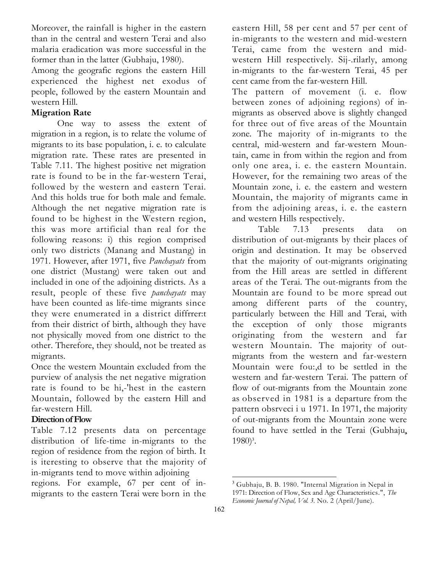Moreover, the rainfall is higher in the eastern than in the central and western Terai and also malaria eradication was more successful in the former than in the latter (Gubhaju, 1980).

Among the geografic regions the eastern Hill experienced the highest net exodus of people, followed by the eastern Mountain and western Hill.

# Migration Rate

One way to assess the extent of migration in a region, is to relate the volume of migrants to its base population, i. e. to calculate migration rate. These rates are presented in Table 7.11. The highest positive net migration rate is found to be in the far-western Terai, followed by the western and eastern Terai. And this holds true for both male and female. Although the net negative migration rate is found to be highest in the Western region, this was more artificial than real for the following reasons: i) this region comprised only two districts (Manang and Mustang) in 1971. However, after 1971, five Panchayats from one district (Mustang) were taken out and included in one of the adjoining districts. As a result, people of these five *panchayats* may have been counted as life-time migrants since they were enumerated in a district diffrrer:t from their district of birth, although they have not physically moved from one district to the other. Therefore, they should, not be treated as migrants.

Once the western Mountain excluded from the purview of analysis the net negative migration rate is found to be hi,-'hest in the eastern Mountain, followed by the eastern Hill and far-western Hill.

# Direction of Flow

Table 7.12 presents data on percentage distribution of life-time in-migrants to the region of residence from the region of birth. It is iteresting to observe that the majority of in-migrants tend to move within adjoining

regions. For example, 67 per cent of inmigrants to the eastern Terai were born in the eastern Hill, 58 per cent and 57 per cent of in-migrants to the western and mid-western Terai, came from the western and midwestern Hill respectively. Sij-.rilarly, among in-migrants to the far-western Terai, 45 per cent came from the far-western Hill.

The pattern of movement (i. e. flow between zones of adjoining regions) of inmigrants as observed above is slightly changed for three out of five areas of the Mountain zone. The majority of in-migrants to the central, mid-western and far-western Mountain, came in from within the region and from only one area, i. e. the eastern Mountain. However, for the remaining two areas of the Mountain zone, i. e. the eastern and western Mountain, the majority of migrants came in from the adjoining areas, i. e. the eastern and western Hills respectively.

Table 7.13 presents data on distribution of out-migrants by their places of origin and destination. It may be observed that the majority of out-migrants originating from the Hill areas are settled in different areas of the Terai. The out-migrants from the Mountain are found to be more spread out among different parts of the country, particularly between the Hill and Terai, with the exception of only those migrants originating from the western and far western Mountain. The majority of outmigrants from the western and far-western Mountain were fou:,d to be settled in the western and far-western Terai. The pattern of flow of out-migrants from the Mountain zone as observed in 1981 is a departure from the pattern obsrveci i u 1971. In 1971, the majority of out-migrants from the Mountain zone were found to have settled in the Terai (Gubhaju, 1980)<sup>3</sup>.

<sup>3</sup> Gubhaju, B. B. 1980. "Internal Migration in Nepal in 1971: Direction of Flow, Sex and Age Characteristics.", The Economic Journal of Nepal, Vol. 3. No. 2 (April/June).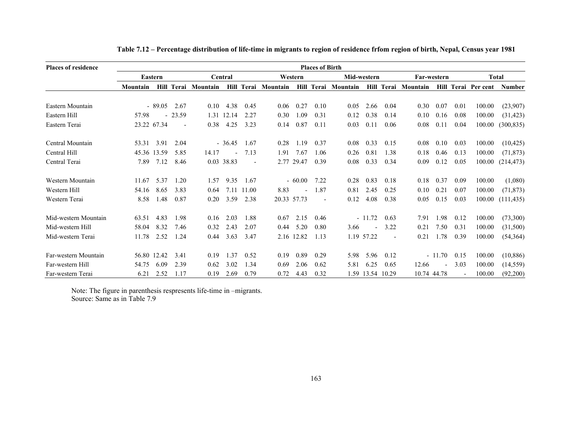| <b>Places of residence</b> |          |             |                          |          |            |                          |                     |             | <b>Places of Birth</b>   |          |                  |                          |             |          |                          |                     |               |
|----------------------------|----------|-------------|--------------------------|----------|------------|--------------------------|---------------------|-------------|--------------------------|----------|------------------|--------------------------|-------------|----------|--------------------------|---------------------|---------------|
|                            |          | Eastern     |                          |          | Central    |                          |                     | Western     |                          |          | Mid-western      |                          | Far-western |          |                          |                     | <b>Total</b>  |
|                            | Mountain |             | <b>Hill Terai</b>        | Mountain |            |                          | Hill Terai Mountain |             | <b>Hill Terai</b>        | Mountain |                  | Hill Terai               | Mountain    |          |                          | Hill Terai Per cent | <b>Number</b> |
| Eastern Mountain           |          | $-89.05$    | 2.67                     | 0.10     | 4.38       | 0.45                     | 0.06                | 0.27        | 0.10                     | 0.05     | 2.66             | 0.04                     | 0.30        | 0.07     | 0.01                     | 100.00              | (23,907)      |
| Eastern Hill               | 57.98    |             | $-23.59$                 | 1.31     | 12.14      | 2.27                     | 0.30                | 1.09        | 0.31                     | 0.12     | 0.38             | 0.14                     | 0.10        | 0.16     | 0.08                     | 100.00              | (31, 423)     |
| Eastern Terai              |          | 23.22 67.34 | $\overline{\phantom{a}}$ | 0.38     | 4.25       | 3.23                     | 0.14                | 0.87        | 0.11                     | 0.03     | 0.11             | 0.06                     | 0.08        | 0.11     | 0.04                     | 100.00              | (300, 835)    |
| Central Mountain           | 53.31    | 3.91        | 2.04                     |          | $-36.45$   | 1.67                     | 0.28                | 1.19        | 0.37                     | 0.08     | 0.33             | 0.15                     | 0.08        | 0.10     | 0.03                     | 100.00              | (10, 425)     |
| Central Hill               |          | 45.36 13.59 | 5.85                     | 14.17    |            | 7.13                     | 1.91                | 7.67        | 1.06                     | 0.26     | 0.81             | 1.38                     | 0.18        | 0.46     | 0.13                     | 100.00              | (71, 873)     |
| Central Terai              | 7.89     | 7.12        | 8.46                     |          | 0.03 38.83 | $\overline{\phantom{a}}$ | 2.77                | 29.47       | 0.39                     | 0.08     | 0.33             | 0.34                     | 0.09        | 0.12     | 0.05                     | 100.00              | (214, 473)    |
| Western Mountain           | 11.67    | 5.37        | 1.20                     | 1.57     | 9.35       | 1.67                     |                     | $-60.00$    | 7.22                     | 0.28     | 0.83             | 0.18                     | 0.18        | 0.37     | 0.09                     | 100.00              | (1,080)       |
| Western Hill               | 54.16    | 8.65        | 3.83                     | 0.64     | 7.11       | 11.00                    | 8.83                |             | 1.87                     | 0.81     | 2.45             | 0.25                     | 0.10        | 0.21     | 0.07                     | 100.00              | (71, 873)     |
| Western Terai              | 8.58     | 1.48        | 0.87                     | 0.20     | 3.59       | 2.38                     |                     | 20.33 57.73 | $\overline{\phantom{a}}$ | 0.12     | 4.08             | 0.38                     | 0.05        | 0.15     | 0.03                     | 100.00              | (111, 435)    |
| Mid-western Mountain       | 63.51    | 4.83        | 1.98                     | 0.16     | 2.03       | 1.88                     | 0.67                | 2.15        | 0.46                     |          | $-11.72$         | 0.63                     | 7.91        | 1.98     | 0.12                     | 100.00              | (73,300)      |
| Mid-western Hill           | 58.04    | 8.32        | 7.46                     | 0.32     | 2.43       | 2.07                     | 0.44                | 5.20        | 0.80                     | 3.66     |                  | 3.22                     | 0.21        | 7.50     | 0.31                     | 100.00              | (31,500)      |
| Mid-western Terai          | 11.78    | 2.52        | 1.24                     | 0.44     | 3.63       | 3.47                     |                     | 2.16 12.82  | 1.13                     |          | 1.19 57.22       | $\overline{\phantom{a}}$ | 0.21        | 1.78     | 0.39                     | 100.00              | (54, 364)     |
| Far-western Mountain       |          | 56.80 12.42 | 3.41                     | 0.19     | 1.37       | 0.52                     | 0.19                | 0.89        | 0.29                     | 5.98     | 5.96             | 0.12                     |             | $-11.70$ | 0.15                     | 100.00              | (10, 886)     |
| Far-western Hill           | 54.75    | 6.09        | 2.39                     | 0.62     | 3.02       | 1.34                     | 0.69                | 2.06        | 0.62                     | 5.81     | 6.25             | 0.65                     | 12.66       |          | 3.03                     | 100.00              | (14, 559)     |
| Far-western Terai          | 6.21     | 2.52        | 1.17                     | 0.19     | 2.69       | 0.79                     | 0.72                | 4.43        | 0.32                     |          | 1.59 13.54 10.29 |                          | 10.74 44.78 |          | $\overline{\phantom{a}}$ | 100.00              | (92,200)      |

Table 7.12 – Percentage distribution of life-time in migrants to region of residence frfom region of birth, Nepal, Census year 1981

Note: The figure in parenthesis respresents life-time in –migrants. Source: Same as in Table 7.9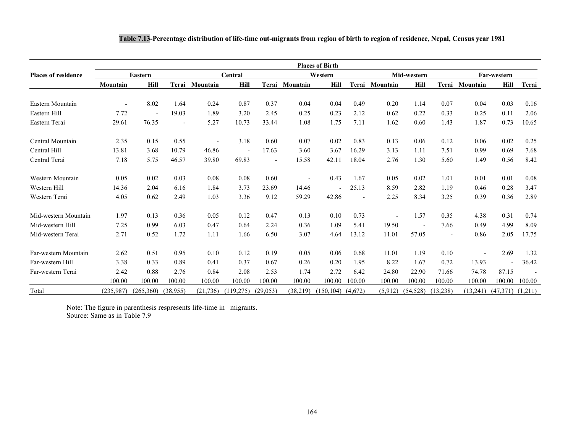|                            |                |           |                          |                |                          |                          |                | <b>Places of Birth</b>   |         |          |                          |                          |                          |                          |        |
|----------------------------|----------------|-----------|--------------------------|----------------|--------------------------|--------------------------|----------------|--------------------------|---------|----------|--------------------------|--------------------------|--------------------------|--------------------------|--------|
| <b>Places of residence</b> |                | Eastern   |                          |                | Central<br>Western       |                          |                |                          |         |          | Mid-western              |                          |                          | Far-western              |        |
|                            | Mountain       | Hill      |                          | Terai Mountain | Hill                     |                          | Terai Mountain | Hill                     | Terai   | Mountain | Hill                     | Terai                    | Mountain                 | Hill                     | Terai  |
| Eastern Mountain           | $\blacksquare$ | 8.02      | 1.64                     | 0.24           | 0.87                     | 0.37                     | 0.04           | 0.04                     | 0.49    | 0.20     | 1.14                     | 0.07                     | 0.04                     | 0.03                     | 0.16   |
| Eastern Hill               | 7.72           |           | 19.03                    | 1.89           | 3.20                     | 2.45                     | 0.25           | 0.23                     | 2.12    | 0.62     | 0.22                     | 0.33                     | 0.25                     | 0.11                     | 2.06   |
| Eastern Terai              | 29.61          | 76.35     | $\overline{\phantom{a}}$ | 5.27           | 10.73                    | 33.44                    | 1.08           | 1.75                     | 7.11    | 1.62     | 0.60                     | 1.43                     | 1.87                     | 0.73                     | 10.65  |
| Central Mountain           | 2.35           | 0.15      | 0.55                     |                | 3.18                     | 0.60                     | 0.07           | 0.02                     | 0.83    | 0.13     | 0.06                     | 0.12                     | 0.06                     | 0.02                     | 0.25   |
| Central Hill               | 13.81          | 3.68      | 10.79                    | 46.86          | $\overline{\phantom{a}}$ | 17.63                    | 3.60           | 3.67                     | 16.29   | 3.13     | 1.11                     | 7.51                     | 0.99                     | 0.69                     | 7.68   |
| Central Terai              | 7.18           | 5.75      | 46.57                    | 39.80          | 69.83                    | $\overline{\phantom{a}}$ | 15.58          | 42.11                    | 18.04   | 2.76     | 1.30                     | 5.60                     | 1.49                     | 0.56                     | 8.42   |
| Western Mountain           | 0.05           | 0.02      | 0.03                     | 0.08           | 0.08                     | 0.60                     |                | 0.43                     | 1.67    | 0.05     | 0.02                     | 1.01                     | 0.01                     | 0.01                     | 0.08   |
| Western Hill               | 14.36          | 2.04      | 6.16                     | 1.84           | 3.73                     | 23.69                    | 14.46          | $\overline{\phantom{a}}$ | 25.13   | 8.59     | 2.82                     | 1.19                     | 0.46                     | 0.28                     | 3.47   |
| Western Terai              | 4.05           | 0.62      | 2.49                     | 1.03           | 3.36                     | 9.12                     | 59.29          | 42.86                    |         | 2.25     | 8.34                     | 3.25                     | 0.39                     | 0.36                     | 2.89   |
| Mid-western Mountain       | 1.97           | 0.13      | 0.36                     | 0.05           | 0.12                     | 0.47                     | 0.13           | 0.10                     | 0.73    |          | 1.57                     | 0.35                     | 4.38                     | 0.31                     | 0.74   |
| Mid-western Hill           | 7.25           | 0.99      | 6.03                     | 0.47           | 0.64                     | 2.24                     | 0.36           | 1.09                     | 5.41    | 19.50    | $\overline{\phantom{a}}$ | 7.66                     | 0.49                     | 4.99                     | 8.09   |
| Mid-western Terai          | 2.71           | 0.52      | 1.72                     | 1.11           | 1.66                     | 6.50                     | 3.07           | 4.64                     | 13.12   | 11.01    | 57.05                    | $\overline{\phantom{a}}$ | 0.86                     | 2.05                     | 17.75  |
| Far-western Mountain       | 2.62           | 0.51      | 0.95                     | 0.10           | 0.12                     | 0.19                     | 0.05           | 0.06                     | 0.68    | 11.01    | 1.19                     | 0.10                     | $\overline{\phantom{a}}$ | 2.69                     | 1.32   |
| Far-western Hill           | 3.38           | 0.33      | 0.89                     | 0.41           | 0.37                     | 0.67                     | 0.26           | 0.20                     | 1.95    | 8.22     | 1.67                     | 0.72                     | 13.93                    | $\overline{\phantom{a}}$ | 36.42  |
| Far-western Terai          | 2.42           | 0.88      | 2.76                     | 0.84           | 2.08                     | 2.53                     | 1.74           | 2.72                     | 6.42    | 24.80    | 22.90                    | 71.66                    | 74.78                    | 87.15                    |        |
|                            | 100.00         | 100.00    | 100.00                   | 100.00         | 100.00                   | 100.00                   | 100.00         | 100.00                   | 100.00  | 100.00   | 100.00                   | 100.00                   | 100.00                   | 100.00                   | 100.00 |
| Total                      | (235,987)      | (265,360) | (38,955)                 | (21, 736)      | (119,275)                | (29,053)                 | (38,219)       | (150, 104)               | (4,672) | (5,912)  | (54, 528)                | (13,238)                 | (13,241)                 | $(47,371)$ $(1,211)$     |        |

Note: The figure in parenthesis respresents life-time in –migrants. Source: Same as in Table 7.9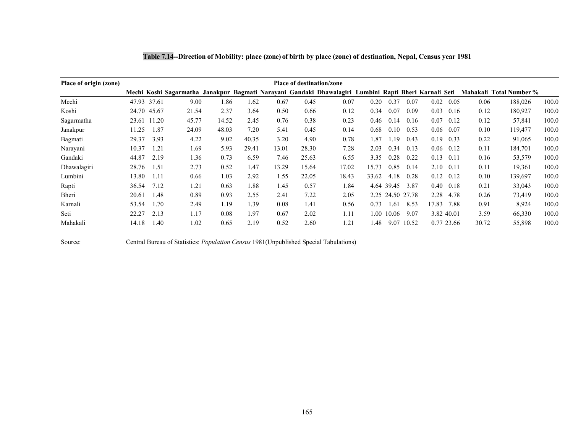| Place of origin (zone) |       |             |       |       |       |       | <b>Place of destination/zone</b> |                                                                                                       |       |            |                  |       |            |       |                         |       |
|------------------------|-------|-------------|-------|-------|-------|-------|----------------------------------|-------------------------------------------------------------------------------------------------------|-------|------------|------------------|-------|------------|-------|-------------------------|-------|
|                        |       |             |       |       |       |       |                                  | Mechi Koshi Sagarmatha Janakpur Bagmati Narayani Gandaki Dhawalagiri Lumbini Rapti Bheri Karnali Seti |       |            |                  |       |            |       | Mahakali Total Number % |       |
| Mechi                  |       | 47.93 37.61 | 9.00  | 1.86  | 1.62  | 0.67  | 0.45                             | 0.07                                                                                                  | 0.20  | 0.37       | 0.07             | 0.02  | 0.05       | 0.06  | 188,026                 | 100.0 |
| Koshi                  |       | 24.70 45.67 | 21.54 | 2.37  | 3.64  | 0.50  | 0.66                             | 0.12                                                                                                  | 0.34  | 0.07       | 0.09             | 0.03  | 0.16       | 0.12  | 180.927                 | 100.0 |
| Sagarmatha             | 23.61 | 11.20       | 45.77 | 14.52 | 2.45  | 0.76  | 0.38                             | 0.23                                                                                                  | 0.46  | 0.14       | 0.16             | 0.07  | 0.12       | 0.12  | 57,841                  | 100.0 |
| Janakpur               | 11.25 | 1.87        | 24.09 | 48.03 | 7.20  | 5.41  | 0.45                             | 0.14                                                                                                  | 0.68  | 0.10       | 0.53             | 0.06  | 0.07       | 0.10  | 119,477                 | 100.0 |
| Bagmati                | 29.37 | 3.93        | 4.22  | 9.02  | 40.35 | 3.20  | 4.90                             | 0.78                                                                                                  | 1.87  | 1.19       | 0.43             | 0.19  | 0.33       | 0.22  | 91,065                  | 100.0 |
| Narayani               | 10.37 | 1.21        | 1.69  | 5.93  | 29.41 | 13.01 | 28.30                            | 7.28                                                                                                  | 2.03  | 0.34       | 0.13             | 0.06  | 0.12       | 0.11  | 184,701                 | 100.0 |
| Gandaki                | 44.87 | 2.19        | 1.36  | 0.73  | 6.59  | 7.46  | 25.63                            | 6.55                                                                                                  | 3.35  | 0.28       | 0.22             | 0.13  | 0.11       | 0.16  | 53,579                  | 100.0 |
| Dhawalagiri            | 28.76 | 1.51        | 2.73  | 0.52  | 1.47  | 13.29 | 15.64                            | 17.02                                                                                                 | 15.73 | 0.85       | 0.14             | 2.10  | 0.11       | 0.11  | 19,361                  | 100.0 |
| Lumbini                | 13.80 | 1.11        | 0.66  | 1.03  | 2.92  | 1.55  | 22.05                            | 18.43                                                                                                 | 33.62 | 4.18       | 0.28             | 0.12  | 0.12       | 0.10  | 139,697                 | 100.0 |
| Rapti                  | 36.54 | 7.12        | 1.21  | 0.63  | 1.88  | 1.45  | 0.57                             | 1.84                                                                                                  |       | 4.64 39.45 | 3.87             | 0.40  | 0.18       | 0.21  | 33,043                  | 100.0 |
| Bheri                  | 20.61 | 1.48        | 0.89  | 0.93  | 2.55  | 2.41  | 7.22                             | 2.05                                                                                                  |       |            | 2.25 24.50 27.78 | 2.28  | 4.78       | 0.26  | 73,419                  | 100.0 |
| Karnali                | 53.54 | 1.70        | 2.49  | 1.19  | 1.39  | 0.08  | 1.41                             | 0.56                                                                                                  | 0.73  | 1.61       | 8.53             | 17.83 | 7.88       | 0.91  | 8,924                   | 100.0 |
| Seti                   | 22.27 | 2.13        | 1.17  | 0.08  | 1.97  | 0.67  | 2.02                             | 1.11                                                                                                  |       | 1.00 10.06 | 9.07             |       | 3.82 40.01 | 3.59  | 66,330                  | 100.0 |
| Mahakali               | 14.18 | 1.40        | 1.02  | 0.65  | 2.19  | 0.52  | 2.60                             | 1.21                                                                                                  | 1.48  |            | 9.07 10.52       |       | 0.77 23.66 | 30.72 | 55,898                  | 100.0 |

|  |  | Table 7.14--Direction of Mobility: place (zone) of birth by place (zone) of destination, Nepal, Census year 1981 |  |
|--|--|------------------------------------------------------------------------------------------------------------------|--|
|--|--|------------------------------------------------------------------------------------------------------------------|--|

Source: Central Bureau of Statistics: Population Census 1981(Unpublished Special Tabulations)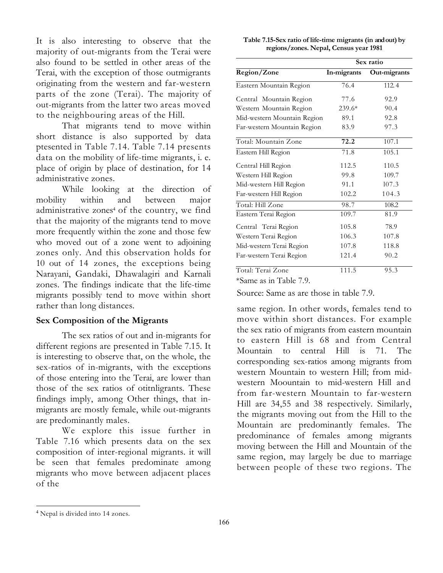It is also interesting to observe that the majority of out-migrants from the Terai were also found to be settled in other areas of the Terai, with the exception of those outmigrants originating from the western and far-western parts of the zone (Terai). The majority of out-migrants from the latter two areas moved to the neighbouring areas of the Hill.

That migrants tend to move within short distance is also supported by data ptesented in Table 7.14. Table 7.14 presents data on the mobility of life-time migrants, i. e. place of origin by place of destination, for 14 administrative zones.

While looking at the direction of mobility within and between major administrative zones<sup>4</sup> of the country, we find that the majority of the migrants tend to move more frequently within the zone and those few who moved out of a zone went to adjoining zones only. And this observation holds for 10 out of 14 zones, the exceptions being Narayani, Gandaki, Dhawalagiri and Karnali zones. The findings indicate that the life-time migrants possibly tend to move within short rather than long distances.

### Sex Composition of the Migrants

The sex ratios of out and in-migrants for different regions are presented in Table 7.15. It is interesting to observe that, on the whole, the sex-ratios of in-migrants, with the exceptions of those entering into the Terai, are lower than those of the sex ratios of otitnligrants. These findings imply, among Other things, that inmigrants are mostly female, while out-migrants are predominantly males.

We explore this issue further in Table 7.16 which presents data on the sex composition of inter-regional migrants. it will be seen that females predominate among migrants who move between adjacent places of the

| Table 7.15-Sex ratio of life-time migrants (in and out) by |
|------------------------------------------------------------|
| regions/zones. Nepal, Census year 1981                     |

|                             |             | Sex ratio    |
|-----------------------------|-------------|--------------|
| Region/Zone                 | In-migrants | Out-migrants |
| Eastern Mountain Region     | 76.4        | 112.4        |
| Central Mountain Region     | 77.6        | 92.9         |
| Western Mountain Region     | 239.6*      | 90.4         |
| Mid-western Mountain Region | 89.1        | 92.8         |
| Far-western Mountain Region | 83.9        | 97.3         |
| Total: Mountain Zone        | 72.2        | 107.1        |
| Eastern Hill Region         | 71.8        | 105.1        |
| Central Hill Region         | 112.5       | 110.5        |
| Western Hill Region         | 99.8        | 109.7        |
| Mid-western Hill Region     | 91.1        | 107.3        |
| Far-western Hill Region     | 102.2       | 104.3        |
| Total: Hill Zone            | 98.7        | 108.2        |
| Eastern Terai Region        | 109.7       | 81.9         |
| Central Terai Region        | 105.8       | 78.9         |
| Western Terai Region        | 106.3       | 107.8        |
| Mid-western Terai Region    | 107.8       | 118.8        |
| Far-western Terai Region    | 121.4       | 90.2         |
| Total: Terai Zone           | 111.5       | 95.3         |

\*Same as in Table 7.9.

Source: Same as are those in table 7.9.

same region. In other words, females tend to move within short distances. For example the sex ratio of migrants from eastern mountain to eastern Hill is 68 and from Central Mountain to central Hill is 71. The corresponding sex-ratios among migrants from western Mountain to western Hill; from midwestern Moountain to mid-western Hill and from far-western Mountain to far-western Hill are 34,55 and 38 respectively. Similarly, the migrants moving out from the Hill to the Mountain are predominantly females. The predominance of females among migrants moving between the Hill and Mountain of the same region, may largely be due to marriage between people of these two regions. The

<sup>4</sup> Nepal is divided into 14 zones.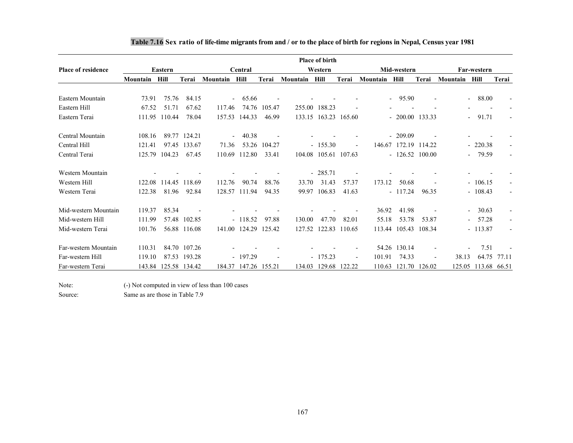|                           |          |         |              |          |               |        |          | <b>Place of birth</b> |        |          |                     |        |          |                                    |       |
|---------------------------|----------|---------|--------------|----------|---------------|--------|----------|-----------------------|--------|----------|---------------------|--------|----------|------------------------------------|-------|
| <b>Place of residence</b> |          | Eastern |              |          | Central       |        |          | Western               |        |          | Mid-western         |        |          | Far-western                        |       |
|                           | Mountain | Hill    | Terai        | Mountain | Hill          | Terai  | Mountain | Hill                  | Terai  | Mountain | Hill                | Terai  | Mountain | Hill                               | Terai |
|                           |          |         |              |          |               |        |          |                       |        |          |                     |        |          |                                    |       |
| Eastern Mountain          | 73.91    | 75.76   | 84.15        |          | 65.66         |        |          |                       |        |          | 95.90<br>$\sim$ $-$ |        |          | 88.00<br>$\overline{\phantom{a}}$  |       |
| Eastern Hill              | 67.52    | 51.71   | 67.62        | 117.46   | 74.76         | 105.47 |          | 255.00 188.23         |        |          |                     |        |          |                                    |       |
| Eastern Terai             | 111.95   | 110.44  | 78.04        | 157.53   | 144.33        | 46.99  | 133.15   | 163.23                | 165.60 |          | $-200.00$ 133.33    |        |          | 91.71<br>$\overline{\phantom{0}}$  |       |
| Central Mountain          | 108.16   | 89.77   | 124.21       |          | 40.38         |        |          |                       |        |          | $-209.09$           |        |          |                                    |       |
| Central Hill              | 121.41   | 97.45   | 133.67       | 71.36    | 53.26         | 104.27 |          | $-155.30$             |        |          | 146.67 172.19       | 114.22 |          | 220.38<br>$\overline{\phantom{0}}$ |       |
| Central Terai             | 125.79   | 104.23  | 67.45        | 110.69   | 112.80        | 33.41  | 104.08   | 105.61                | 107.63 |          | $-126.52$           | 100.00 |          | 79.59<br>$\overline{\phantom{a}}$  |       |
| Western Mountain          |          |         |              |          |               |        |          | $-285.71$             |        |          |                     |        |          |                                    |       |
| Western Hill              | 122.08   | 114.45  | 118.69       | 112.76   | 90.74         | 88.76  | 33.70    | 31.43                 | 57.37  | 173.12   | 50.68               |        |          | 106.15<br>$\overline{\phantom{0}}$ |       |
| Western Terai             | 122.38   | 81.96   | 92.84        |          | 128.57 111.94 | 94.35  | 99.97    | 106.83                | 41.63  |          | $-117.24$           | 96.35  |          | 108.43<br>$\overline{\phantom{0}}$ |       |
| Mid-western Mountain      | 119.37   | 85.34   |              |          |               |        |          |                       |        | 36.92    | 41.98               |        |          | 30.63<br>$\overline{a}$            |       |
| Mid-western Hill          | 111.99   | 57.48   | 102.85       |          | $-118.52$     | 97.88  | 130.00   | 47.70                 | 82.01  | 55.18    | 53.78               | 53.87  |          | 57.28                              |       |
| Mid-western Terai         | 101.76   |         | 56.88 116.08 |          | 141.00 124.29 | 125.42 | 127.52   | 122.83                | 110.65 | 113.44   | 105.43              | 108.34 |          | 113.87<br>$\overline{\phantom{0}}$ |       |
| Far-western Mountain      | 110.31   | 84.70   | 107.26       |          |               |        |          |                       |        | 54.26    | 130.14              |        |          | 7.51                               |       |
| Far-western Hill          | 119.10   | 87.53   | 193.28       |          | $-197.29$     |        |          | $-175.23$             |        | 101.91   | 74.33               |        | 38.13    | 64.75                              | 77.11 |
| Far-western Terai         | 143.84   | 125.58  | 134.42       | 184.37   | 147.26        | 155.21 | 134.03   | 129.68                | 122.22 | 110.63   | 121.70              | 126.02 | 125.05   | 113.68                             | 66.51 |

### Table 7.16 Sex ratio of life-time migrants from and / or to the place of birth for regions in Nepal, Census year 1981

Note: (-) Not computed in view of less than 100 cases

Source: Same as are those in Table 7.9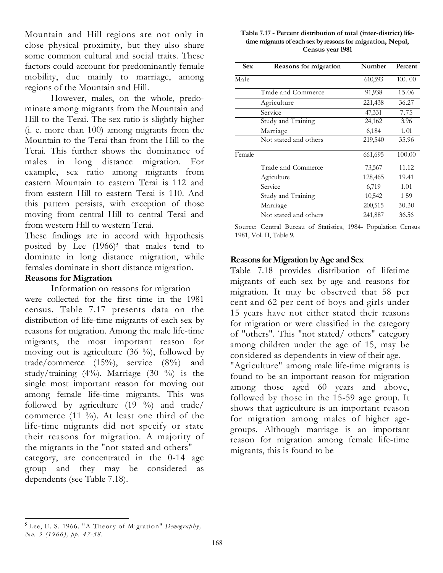Mountain and Hill regions are not only in close physical proximity, but they also share some common cultural and social traits. These factors could account for predominantly female mobility, due mainly to marriage, among regions of the Mountain and Hill.

However, males, on the whole, predominate among migrants from the Mountain and Hill to the Terai. The sex ratio is slightly higher (i. e. more than 100) among migrants from the Mountain to the Terai than from the Hill to the Terai. This further shows the dominance of males in long distance migration. For example, sex ratio among migrants from eastern Mountain to eastern Terai is 112 and from eastern Hill to eastern Terai is 110. And this pattern persists, with exception of those moving from central Hill to central Terai and from western Hill to western Terai.

These findings are in accord with hypothesis posited by Lee  $(1966)^5$  that males tend to dominate in long distance migration, while females dominate in short distance migration.

## Reasons for Migration

Information on reasons for migration were collected for the first time in the 1981 census. Table 7.17 presents data on the distribution of life-time migrants of each sex by reasons for migration. Among the male life-time migrants, the most important reason for moving out is agriculture  $(36 \%)$ , followed by trade/commerce (15%), service (8%) and study/training  $(4\%)$ . Marriage  $(30\%)$  is the single most important reason for moving out among female life-time migrants. This was followed by agriculture  $(19 \degree \%)$  and trade/ commerce (11 %). At least one third of the life-time migrants did not specify or state their reasons for migration. A majority of the migrants in the "not stated and others" category, are concentrated in the 0-14 age group and they may be considered as dependents (see Table 7.18).

### Table 7.17 - Percent distribution of total (inter-district) lifetime migrants of each sex by reasons for migration, Nepal, Census year 1981

| <b>Sex</b> | <b>Reasons for migration</b> | Number  | Percent |
|------------|------------------------------|---------|---------|
| Male       |                              | 610,593 | 100.00  |
|            | Trade and Commerce           | 91,938  | 15.06   |
|            | Agriculture                  | 221,438 | 36.27   |
|            | Service                      | 47,331  | 7.75    |
|            | Study and Training           | 24,162  | 3.96    |
|            | Marriage                     | 6,184   | 1.01    |
|            | Not stated and others        | 219,540 | 35.96   |
| Female     |                              | 661,695 | 100.00  |
|            | Trade and Commerce           | 73,567  | 11.12   |
|            | Agriculture                  | 128,465 | 19.41   |
|            | Service                      | 6,719   | 1.01    |
|            | Study and Training           | 10,542  | 159     |
|            | Marriage                     | 200,515 | 30.30   |
|            | Not stated and others        | 241,887 | 36.56   |

Source: Central Bureau of Statistics, 1984- Population Census 1981, Vol. II, Table 9.

### Reasons for Migration by Age and Sex

Table 7.18 provides distribution of lifetime migrants of each sex by age and reasons for migration. It may be observed that 58 per cent and 62 per cent of boys and girls under 15 years have not either stated their reasons for migration or were classified in the category of "others". This "not stated/ others" category among children under the age of 15, may be considered as dependents in view of their age.

"Agriculture" among male life-time migrants is found to be an important reason for migration among those aged 60 years and above, followed by those in the 15-59 age group. It shows that agriculture is an important reason for migration among males of higher agegroups. Although marriage is an important reason for migration among female life-time migrants, this is found to be

 $<sup>5</sup>$  Lee, E. S. 1966. "A Theory of Migration" Demography,</sup> No. 3 (1966), pp. 47-58.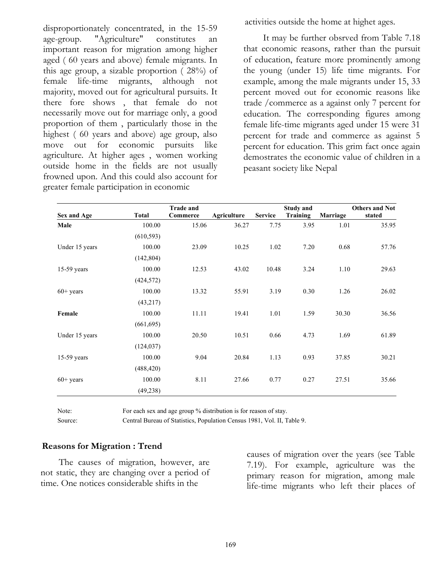disproportionately concentrated, in the 15-59 age-group. "Agriculture" constitutes an important reason for migration among higher aged ( 60 years and above) female migrants. In this age group, a sizable proportion ( 28%) of female life-time migrants, although not majority, moved out for agricultural pursuits. It there fore shows , that female do not necessarily move out for marriage only, a good proportion of them , particularly those in the highest ( 60 years and above) age group, also move out for economic pursuits like agriculture. At higher ages , women working outside home in the fields are not usually frowned upon. And this could also account for greater female participation in economic

activities outside the home at highet ages.

 It may be further obsrved from Table 7.18 that economic reasons, rather than the pursuit of education, feature more prominently among the young (under 15) life time migrants. For example, among the male migrants under 15, 33 percent moved out for economic reasons like trade /commerce as a against only 7 percent for education. The corresponding figures among female life-time migrants aged under 15 were 31 percent for trade and commerce as against 5 percent for education. This grim fact once again demostrates the economic value of children in a peasant society like Nepal

|                    |              | <b>Trade and</b> |             |                | <b>Study and</b> |          | <b>Others and Not</b> |
|--------------------|--------------|------------------|-------------|----------------|------------------|----------|-----------------------|
| <b>Sex and Age</b> | <b>Total</b> | Commerce         | Agriculture | <b>Service</b> | Training         | Marriage | stated                |
| Male               | 100.00       | 15.06            | 36.27       | 7.75           | 3.95             | 1.01     | 35.95                 |
|                    | (610, 593)   |                  |             |                |                  |          |                       |
| Under 15 years     | 100.00       | 23.09            | 10.25       | 1.02           | 7.20             | 0.68     | 57.76                 |
|                    | (142, 804)   |                  |             |                |                  |          |                       |
| $15-59$ years      | 100.00       | 12.53            | 43.02       | 10.48          | 3.24             | 1.10     | 29.63                 |
|                    | (424, 572)   |                  |             |                |                  |          |                       |
| $60+$ years        | 100.00       | 13.32            | 55.91       | 3.19           | 0.30             | 1.26     | 26.02                 |
|                    | (43,217)     |                  |             |                |                  |          |                       |
| Female             | 100.00       | 11.11            | 19.41       | 1.01           | 1.59             | 30.30    | 36.56                 |
|                    | (661, 695)   |                  |             |                |                  |          |                       |
| Under 15 years     | 100.00       | 20.50            | 10.51       | 0.66           | 4.73             | 1.69     | 61.89                 |
|                    | (124, 037)   |                  |             |                |                  |          |                       |
| $15-59$ years      | 100.00       | 9.04             | 20.84       | 1.13           | 0.93             | 37.85    | 30.21                 |
|                    | (488, 420)   |                  |             |                |                  |          |                       |
| $60+$ years        | 100.00       | 8.11             | 27.66       | 0.77           | 0.27             | 27.51    | 35.66                 |
|                    | (49, 238)    |                  |             |                |                  |          |                       |

Note: For each sex and age group % distribution is for reason of stay.

Source: Central Bureau of Statistics, Population Census 1981, Vol. II, Table 9.

# Reasons for Migration : Trend

The causes of migration, however, are not static, they are changing over a period of time. One notices considerable shifts in the

causes of migration over the years (see Table 7.19). For example, agriculture was the primary reason for migration, among male life-time migrants who left their places of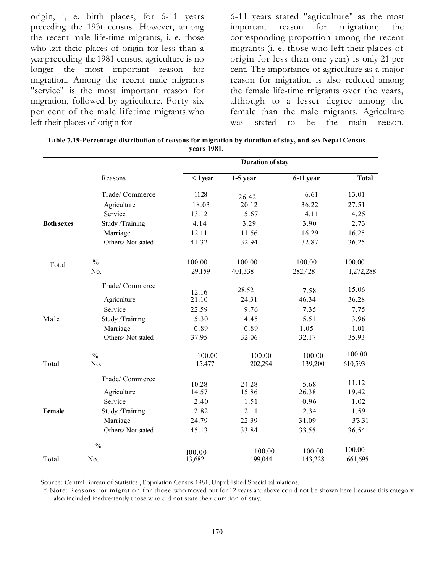origin, i, e. birth places, for 6-11 years preceding the 193t census. However, among the recent male life-time migrants, i. e. those who .zit thcic places of origin for less than a year preceding the 1981 census, agriculture is no longer the most important reason for migration. Among the recent male migrants "service" is the most important reason for migration, followed by agriculture. Forty six per cent of the male lifetime migrants who left their places of origin for

6-11 years stated "agriculture" as the most important reason for migration; the corresponding proportion among the recent migrants (i. e. those who left their places of origin for less than one year) is only 21 per cent. The importance of agriculture as a major reason for migration is also reduced among the female life-time rnigrants over the years, although to a lesser degree among the female than the male migrants. Agriculture was stated to be the main reason.

|                   |                   |                  | <b>Duration of stay</b> |           |              |
|-------------------|-------------------|------------------|-------------------------|-----------|--------------|
|                   | Reasons           | $< 1$ year       | $1-5$ year              | 6-11 year | <b>Total</b> |
|                   | Trade/ Commerce   | 1128             | 26.42                   | 6.61      | 13.01        |
|                   | Agriculture       | 18.03            | 20.12                   | 36.22     | 27.51        |
|                   | Service           | 13.12            | 5.67                    | 4.11      | 4.25         |
| <b>Both sexes</b> | Study /Training   | 4.14             | 3.29                    | 3.90      | 2.73         |
|                   | Marriage          | 12.11            | 11.56                   | 16.29     | 16.25        |
|                   | Others/Not stated | 41.32            | 32.94                   | 32.87     | 36.25        |
| Total             | $\frac{0}{0}$     | 100.00           | 100.00                  | 100.00    | 100.00       |
|                   | No.               | 29,159           | 401,338                 | 282,428   | 1,272,288    |
|                   | Trade/ Commerce   | 12.16            | 28.52                   | 7.58      | 15.06        |
|                   | Agriculture       | 21.10            | 24.31                   | 46.34     | 36.28        |
|                   | Service           | 22.59            | 9.76                    | 7.35      | 7.75         |
| Male              | Study /Training   | 5.30             | 4.45                    | 5.51      | 3.96         |
|                   | Marriage          | 0.89             | 0.89                    | 1.05      | 1.01         |
|                   | Others/Not stated | 37.95            | 32.06                   | 32.17     | 35.93        |
|                   | $\frac{0}{0}$     | 100.00           | 100.00                  | 100.00    | 100.00       |
| Total             | No.               | 15,477           | 202,294                 | 139,200   | 610,593      |
|                   | Trade/ Commerce   | 10.28            | 24.28                   | 5.68      | 11.12        |
|                   | Agriculture       | 14.57            | 15.86                   | 26.38     | 19.42        |
|                   | Service           | 2.40             | 1.51                    | 0.96      | 1.02         |
| Female            | Study /Training   | 2.82             | 2.11                    | 2.34      | 1.59         |
|                   | Marriage          | 24.79            | 22.39                   | 31.09     | 3'3.31       |
|                   | Others/Not stated | 45.13            | 33.84                   | 33.55     | 36.54        |
|                   | $\frac{0}{0}$     |                  | 100.00                  | 100.00    | 100.00       |
| Total             | No.               | 100.00<br>13,682 | 199,044                 | 143,228   | 661,695      |

| Table 7.19-Percentage distribution of reasons for migration by duration of stay, and sex Nepal Census |
|-------------------------------------------------------------------------------------------------------|
| vears 1981.                                                                                           |

Source: Central Bureau of Statistics , Population Census 1981, Unpublished Special tabulations.

\* Note: Reasons for migration for those who moved out for 12 years and above could not be shown here because this category also included inadvertently those who did not state their duration of stay.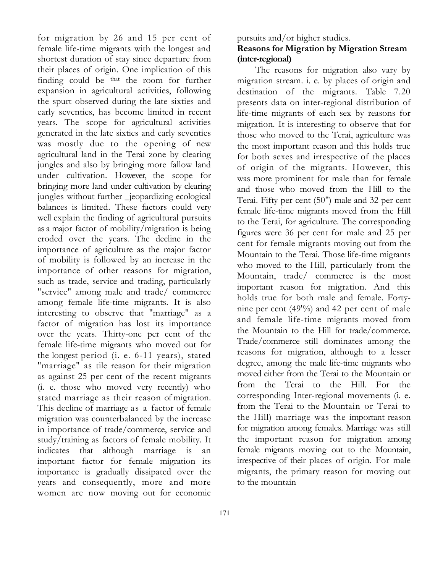for migration by 26 and 15 per cent of female life-time migrants with the longest and shortest duration of stay since departure from their places of origin. One implication of this finding could be that the room for further expansion in agricultural activities, following the spurt observed during the late sixties and early seventies, has become limited in recent years. The scope for agricultural activities generated in the late sixties and early seventies was mostly due to the opening of new agricultural land in the Terai zone by clearing jungles and also by bringing more fallow land under cultivation. However, the scope for bringing more land under cultivation by clearing jungles without further \_jeopardizing ecological balances is limited. These factors could very well explain the finding of agricultural pursuits as a major factor of mobility/migration is being eroded over the years. The decline in the importance of agriculture as the major factor of mobility is followed by an increase in the importance of other reasons for migration, such as trade, service and trading, particularly "service" among male and trade/ commerce among female life-time migrants. It is also interesting to observe that "marriage" as a factor of migration has lost its importance over the years. Thirty-one per cent of the female life-time migrants who moved out for the longest period (i. e. 6-11 years), stated "marriage" as tile reason for their migration as against 25 per cent of the recent migrants (i. e. those who moved very recently) who stated marriage as their reason of migration. This decline of marriage as a factor of female migration was counterbalanced by the increase in importance of trade/commerce, service and study/training as factors of female mobility. It indicates that although marriage is an important factor for female migration its importance is gradually dissipated over the years and consequently, more and more women are now moving out for economic

pursuits and/or higher studies.

# Reasons for Migration by Migration Stream (inter-regional)

The reasons for migration also vary by migration stream. i. e. by places of origin and destination of the migrants. Table 7.20 presents data on inter-regional distribution of life-time migrants of each sex by reasons for migration. It is interesting to observe that for those who moved to the Terai, agriculture was the most important reason and this holds true for both sexes and irrespective of the places of origin of the migrants. However, this was more prominent for male than for female and those who moved from the Hill to the Terai. Fifty per cent (50") male and 32 per cent female life-time migrants moved from the Hill to the Terai, for agriculture. The corresponding figures were 36 per cent for male and 25 per cent for female migrants moving out from the Mountain to the Terai. Those life-time migrants who moved to the Hill, particularly from the Mountain, trade/ commerce is the most important reason for migration. And this holds true for both male and female. Fortynine per cent (49<sup>'%</sup>) and 42 per cent of male and female life-time migrants moved from the Mountain to the Hill for trade/commerce. Trade/commerce still dominates among the reasons for migration, although to a lesser degree, among the male life-time migrants who moved either from the Terai to the Mountain or from the Terai to the Hill. For the corresponding Inter-regional movements (i. e. from the Terai to the Mountain or Terai to the Hill) marriage was the important reason for migration among females. Marriage was still the important reason for migration among female migrants moving out to the Mountain, irrespective of their places of origin. For male migrants, the primary reason for moving out to the mountain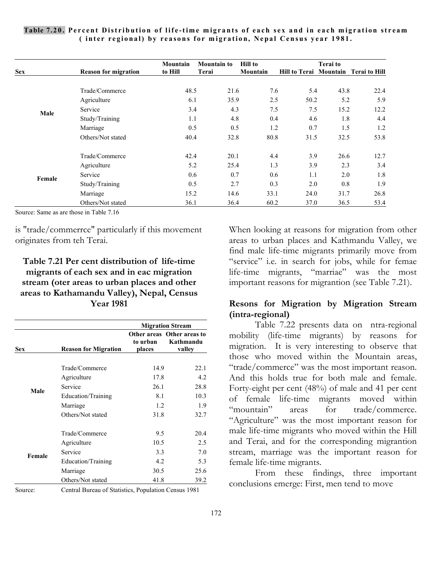| Table 7.20. Percent Distribution of life-time migrants of each sex and in each migration stream |
|-------------------------------------------------------------------------------------------------|
| (inter regional) by reasons for migration, Nepal Census year 1981.                              |

|            |                             | Mountain | <b>Mountain to</b> | <b>Hill to</b> |      | <b>Terai</b> to |                                      |
|------------|-----------------------------|----------|--------------------|----------------|------|-----------------|--------------------------------------|
| <b>Sex</b> | <b>Reason for migration</b> | to Hill  | Terai              | Mountain       |      |                 | Hill to Terai Mountain Terai to Hill |
|            |                             |          |                    |                |      |                 |                                      |
|            | Trade/Commerce              | 48.5     | 21.6               | 7.6            | 5.4  | 43.8            | 22.4                                 |
|            | Agriculture                 | 6.1      | 35.9               | 2.5            | 50.2 | 5.2             | 5.9                                  |
| Male       | Service                     | 3.4      | 4.3                | 7.5            | 7.5  | 15.2            | 12.2                                 |
|            | Study/Training              | 1.1      | 4.8                | 0.4            | 4.6  | 1.8             | 4.4                                  |
|            | Marriage                    | 0.5      | 0.5                | 1.2            | 0.7  | 1.5             | 1.2                                  |
|            | Others/Not stated           | 40.4     | 32.8               | 80.8           | 31.5 | 32.5            | 53.8                                 |
|            | Trade/Commerce              | 42.4     | 20.1               | 4.4            | 3.9  | 26.6            | 12.7                                 |
|            | Agriculture                 | 5.2      | 25.4               | 1.3            | 3.9  | 2.3             | 3.4                                  |
| Female     | Service                     | 0.6      | 0.7                | 0.6            | 1.1  | 2.0             | 1.8                                  |
|            | Study/Training              | 0.5      | 2.7                | 0.3            | 2.0  | 0.8             | 1.9                                  |
|            | Marriage                    | 15.2     | 14.6               | 33.1           | 24.0 | 31.7            | 26.8                                 |
|            | Others/Not stated           | 36.1     | 36.4               | 60.2           | 37.0 | 36.5            | 53.4                                 |

Source: Same as are those in Table 7.16

is "trade/commerrce" particularly if this movement originates from teh Terai.

# Table 7.21 Per cent distribution of life-time migrants of each sex and in eac migration stream (oter areas to urban places and other areas to Kathamandu Valley), Nepal, Census Year 1981

|            |                             |                    | <b>Migration Stream</b>                           |  |
|------------|-----------------------------|--------------------|---------------------------------------------------|--|
| <b>Sex</b> | <b>Reason for Migration</b> | to urban<br>places | Other areas Other areas to<br>Kathmandu<br>valley |  |
|            | Trade/Commerce              | 14.9               | 22.1                                              |  |
|            | Agriculture                 | 17.8               | 4.2                                               |  |
|            | Service                     | 26.1               | 28.8                                              |  |
| Male       | Education/Training          | 8.1                | 10.3                                              |  |
|            | Marriage                    | 1.2                | 1.9                                               |  |
|            | Others/Not stated           | 31.8               | 32.7                                              |  |
|            | Trade/Commerce              | 9.5                | 20.4                                              |  |
|            | Agriculture                 | 10.5               | 2.5                                               |  |
| Female     | Service                     | 3.3                | 7.0                                               |  |
|            | Education/Training          | 4.2                | 5.3                                               |  |
|            | Marriage                    | 30.5               | 25.6                                              |  |
|            | Others/Not stated           | 41.8               | 39.2                                              |  |

Source: Central Bureau of Statistics, Population Census 1981

When looking at reasons for migration from other areas to urban places and Kathmandu Valley, we find male life-time migrants primarily move from "service" i.e. in search for jobs, while for femae life-time migrants, "marriae" was the most important reasons for migrantion (see Table 7.21).

### Resons for Migration by Migration Stream (intra-regional)

 Table 7.22 presents data on ntra-regional mobility (life-time migrants) by reasons for migration. It is very interesting to observe that those who moved within the Mountain areas, "trade/commerce" was the most important reason. And this holds true for both male and female. Forty-eight per cent (48%) of male and 41 per cent of female life-time migrants moved within "mountain" areas for trade/commerce. "Agriculture" was the most important reason for male life-time migrants who moved within the Hill and Terai, and for the corresponding migrantion stream, marriage was the important reason for female life-time migrants.

 From these findings, three important conclusions emerge: First, men tend to move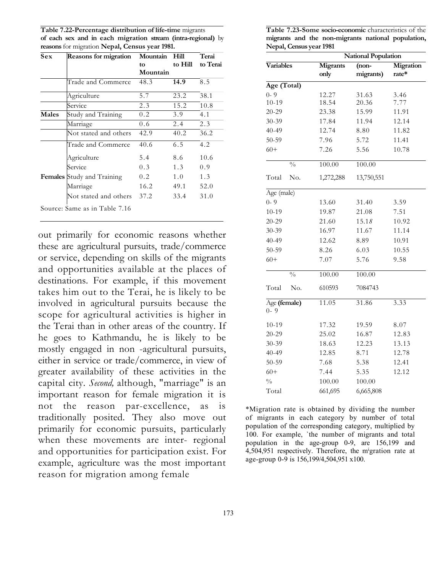Table 7.22-Percentage distribution of life-time migrants of each sex and in each migration stream (intra-regional) by reasons for migration Nepal, Census year 1981.

| <b>Sex</b> | <b>Reasons for migration</b>  | Mountain | Hill    | Terai    |  |
|------------|-------------------------------|----------|---------|----------|--|
|            |                               | tο       | to Hill | to Terai |  |
|            |                               | Mountain |         |          |  |
|            | Trade and Commerce            | 48.3     | 14.9    | 8.5      |  |
|            | Agriculture                   | 5.7      | 23.2    | 38.1     |  |
|            | Service                       | 2.3      | 15.2    | 10.8     |  |
| Males      | Study and Training            | 0.2      | 3.9     | 4.1      |  |
|            | Marriage                      | 0.6      | 2.4     | 2.3      |  |
|            | Not stated and others         | 42.9     | 40.2    | 36.2     |  |
|            | Trade and Commerce            | 40.6     | 6.5     | 4.2      |  |
|            | Agriculture                   | 5.4      | 8.6     | 10.6     |  |
|            | Service                       | 0.3      | 1.3     | 0.9      |  |
|            | Females Study and Training    | 0.2      | 1.0     | 1.3      |  |
|            | Marriage                      | 16.2     | 49.1    | 52.0     |  |
|            | Not stated and others         | 37.2     | 33.4    | 31.0     |  |
|            | Source: Same as in Table 7.16 |          |         |          |  |

out primarily for economic reasons whether these are agricultural pursuits, trade/commerce or service, depending on skills of the migrants and opportunities available at the places of destinations. For example, if this movement takes him out to the Terai, he is likely to be involved in agricultural pursuits because the scope for agricultural activities is higher in the Terai than in other areas of the country. If he goes to Kathmandu, he is likely to be mostly engaged in non -agricultural pursuits, either in service or trade/commerce, in view of greater availability of these activities in the capital city. Second, although, "marriage" is an important reason for female migration it is not the reason par-excellence, as is traditionally posited. They also move out primarily for economic pursuits, particularly when these movements are inter- regional and opportunities for participation exist. For example, agriculture was the most important reason for migration among female

Table 7.23-Some socio-economic characteristics of the migrants and the non-migrants national population, Nepal, Census year 1981

| <b>National Population</b> |                  |                      |                    |  |  |  |
|----------------------------|------------------|----------------------|--------------------|--|--|--|
| <b>Variables</b>           | Migrants<br>only | $(non-$<br>migrants) | Migration<br>rate* |  |  |  |
| Age (Total)                |                  |                      |                    |  |  |  |
| $0 - 9$                    | 12.27            | 31.63                | 3.46               |  |  |  |
| $10 - 19$                  | 18.54            | 20.36                | 7.77               |  |  |  |
| $20 - 29$                  | 23.38            | 15.99                | 11.91              |  |  |  |
| 30-39                      | 17.84            | 11.94                | 12.14              |  |  |  |
| $40 - 49$                  | 12.74            | 8.80                 | 11.82              |  |  |  |
| $50 - 59$                  | 7.96             | 5.72                 | 11.41              |  |  |  |
| $60+$                      | 7.26             | 5.56                 | 10.78              |  |  |  |
| $\frac{0}{0}$              | 100.00           | 100.00               |                    |  |  |  |
| Total<br>No.               | 1,272,288        | 13,750,551           |                    |  |  |  |
| Age (male)                 |                  |                      |                    |  |  |  |
| $0 - 9$                    | 13.60            | 31.40                | 3.59               |  |  |  |
| $10 - 19$                  | 19.87            | 21.08                | 7.51               |  |  |  |
| $20 - 29$                  | 21.60            | 15.18                | 10.92              |  |  |  |
| $30 - 39$                  | 16.97            | 11.67                | 11.14              |  |  |  |
| $40 - 49$                  | 12.62            | 8.89                 | 10.91              |  |  |  |
| $50 - 59$                  | 8.26             | 6.03                 | 10.55              |  |  |  |
| $60+$                      | 7.07             | 5.76                 | 9.58               |  |  |  |
| $\frac{0}{0}$              | 100.00           | 100.00               |                    |  |  |  |
| Total<br>No.               | 610593           | 7084743              |                    |  |  |  |
| Age (female)<br>$0 - 9$    | 11.05            | 31.86                | 3.33               |  |  |  |
| $10 - 19$                  | 17.32            | 19.59                | 8.07               |  |  |  |
| $20 - 29$                  | 25.02            | 16.87                | 12.83              |  |  |  |
| $30 - 39$                  | 18.63            | 12.23                | 13.13              |  |  |  |
| $40 - 49$                  | 12.85            | 8.71                 | 12.78              |  |  |  |
| 50-59                      | 7.68             | 5.38                 | 12.41              |  |  |  |
| $60+$                      | 7.44             | 5.35                 | 12.12              |  |  |  |
| $\frac{0}{0}$              | 100.00           | 100.00               |                    |  |  |  |
| Total                      | 661,695          | 6,665,808            |                    |  |  |  |

\*Migration rate is obtained by dividing the number of migrants in each category by number of total population of the corresponding category, multiplied by 100. For example, `the number of migrants and total population in the age-group 0-9, are 156,199 and 4,504,951 respectively. Therefore, the m<sup>i</sup>gration rate at age-group 0-9 is 156,199/4,504,951 x100.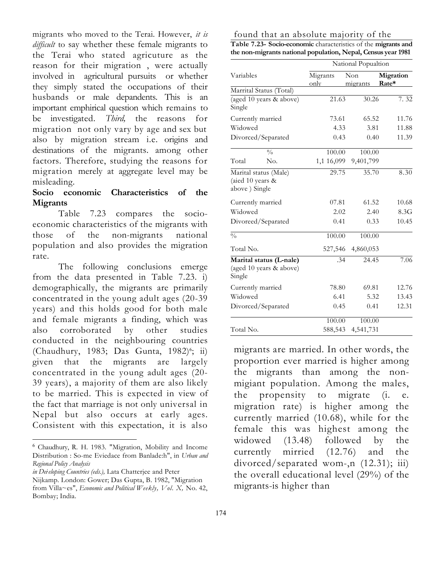migrants who moved to the Terai. However, it is difficult to say whether these female migrants to the Terai who stated agricuture as the reason for their migration , were actually involved in agricultural pursuits or whether they simply stated the occupations of their husbands or male depandents. This is an important emphirical question which remains to be investigated. Third, the reasons for migration not only vary by age and sex but also by migration stream i.e. origins and destinations of the migrants. among other factors. Therefore, studying the reasons for migration merely at aggregate level may be misleading.

# Socio economic Characteristics of the **Migrants**

Table 7.23 compares the socioeconomic characteristics of the migrants with those of the non-migrants national population and also provides the migration rate.

The following conclusions emerge from the data presented in Table 7.23. i) demographically, the migrants are primarily concentrated in the young adult ages (20-39 years) and this holds good for both male and female migrants a finding, which was also corroborated by other studies conducted in the neighbouring countries (Chaudhury, 1983; Das Gunta, 1982)<sup>6</sup>; ii) given that the migrants are largely concentrated in the young adult ages (20- 39 years), a majority of them are also likely to be married. This is expected in view of the fact that marriage is not only universal in Nepal but also occurs at early ages. Consistent with this expectation, it is also

in Dei eloping Countries (eds.), Lata Chatterjee and Peter Nijkamp. London: Gower; Das Gupta, B. 1982, "Migration from Villa~es", Economic and Political Weekly, Vol. X, No. 42, Bombay; India.

| the non-migrants national population, Nepal, Census year 1981 |  |                     |  |  |  |  |  |  |
|---------------------------------------------------------------|--|---------------------|--|--|--|--|--|--|
|                                                               |  | National Popualtion |  |  |  |  |  |  |
| ___ _ _                                                       |  |                     |  |  |  |  |  |  |

found that an absolute majority of the Table 7.23- Socio-economic characteristics of the migrants and

| Variables                                                    | Migrants<br>only | Non<br>migrants | Migration<br>Rate* |  |  |
|--------------------------------------------------------------|------------------|-----------------|--------------------|--|--|
| Marrital Status (Total)                                      |                  |                 |                    |  |  |
| (aged 10 years & above)<br>Single                            | 21.63            | 30.26           | 7.32               |  |  |
| Currently married                                            | 73.61            | 65.52           | 11.76              |  |  |
| Widowed                                                      | 4.33             | 3.81            | 11.88              |  |  |
| Divorced/Separated                                           | 0.43             | 0.40            | 11.39              |  |  |
| $\frac{0}{0}$                                                | 100.00           | 100.00          |                    |  |  |
| Total<br>No.                                                 | 1,1 16,099       | 9,401,799       |                    |  |  |
| Marital status (Male)<br>(aied 10 years &<br>above) Single   | 29.75            | 35.70           | 8.30               |  |  |
| Currently married                                            | 07.81            | 61.52           | 10.68              |  |  |
| Widowed                                                      | 2.02             | 2.40            | 8.3G               |  |  |
| Divoreed/Separated                                           | 0.41             | 0.33            | 10.45              |  |  |
| $\frac{0}{0}$                                                | 100.00           | 100.00          |                    |  |  |
| Total No.                                                    | 527,546          | 4,860,053       |                    |  |  |
| Marital status (L-nale)<br>(aged 10 years & above)<br>Single | .34              | 24.45           | 7.06               |  |  |
| Currently married                                            | 78.80            | 69.81           | 12.76              |  |  |
| Widowed                                                      | 6.41             | 5.32            | 13.43              |  |  |
| Divorced/Separated                                           | 0.45             | 0.41            | 12.31              |  |  |
|                                                              | 100.00           | 100.00          |                    |  |  |
| Total No.                                                    | 588,543          | 4,541,731       |                    |  |  |

migrants are married. In other words, the proportion ever married is higher among the migrants than among the nonmigiant population. Among the males, the propensity to migrate (i. e. migration rate) is higher among the currently married (10.68), while for the female this was highest among the widowed  $(13.48)$  followed by the currently mirried (12.76) and the divorced/separated wom-,n (12.31); iii) the overall educational level (29%) of the migrants-is higher than

<sup>6</sup> Chaudhury, R. H. 1983. "Migration, Mobility and Income Distribution : So-me Eviedace from Banlade:h", in Urban and Regional Policy Analysis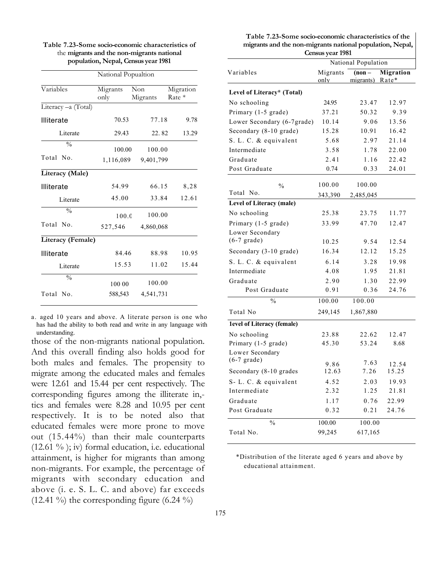|                    | National Popualtion |                 |                     |
|--------------------|---------------------|-----------------|---------------------|
| Variables          | Migrants<br>only    | Non<br>Migrants | Migration<br>Rate * |
| Literacy-a (Total) |                     |                 |                     |
| Illiterate         | 70.53               | 77.18           | 9.78                |
| Literate           | 29.43               | 22.82           | 13.29               |
| $\frac{0}{0}$      | 100.00              | 100.00          |                     |
| Total No.          | 1,116,089           | 9,401,799       |                     |
| Literacy (Male)    |                     |                 |                     |
| Illiterate         | 54.99               | 66.15           | 8,28                |
| Literate           | 45.00               | 33.84           | 12.61               |
| $\frac{0}{0}$      | 100.0               | 100.00          |                     |
| Total No.          | 527,546             | 4,860,068       |                     |
| Literacy (Female)  |                     |                 |                     |
| Illiterate         | 84.46               | 88.98           | 10.95               |
| Literate           | 15.53               | 11.02           | 15.44               |
| $\frac{0}{0}$      | 100 00              | 100.00          |                     |
| Total No.          | 588,543             | 4,541,731       |                     |
|                    |                     |                 |                     |

Table 7.23-Some socio-economic characteristics of the migrants and the non-migrants national population, Nepal, Census year 1981

a. aged 10 years and above. A literate person is one who has had the ability to both read and write in any language with understanding.

those of the non-migrants national population. And this overall finding also holds good for both males and females. The propensity to migrate among the educated males and females were 12.61 and 15.44 per cent respectively. The corresponding figures among the illiterate in, tics and females were 8.28 and 10.95 per cent respectively. It is to be noted also that educated females were more prone to move out (15.44%) than their male counterparts  $(12.61 \%)$ ; iv) formal education, i.e. educational attainment, is higher for migrants than among non-migrants. For example, the percentage of migrants with secondary education and above (i. e. S. L. C. and above) far exceeds (12.41 %) the corresponding figure  $(6.24 \%)$ 

| Census year 1981<br>National Population |          |           |           |  |  |
|-----------------------------------------|----------|-----------|-----------|--|--|
| Variables                               | Migrants | $(non -$  | Migration |  |  |
|                                         | only     | migrants) | Rate*     |  |  |
| Level of Literacy* (Total)              |          |           |           |  |  |
| No schooling                            | 24.95    | 23.47     | 12.97     |  |  |
| Primary (1-5 grade)                     | 37.21    | 50.32     | 9.39      |  |  |
| Lower Secondary (6-7grade)              | 10.14    | 9.06      | 13.56     |  |  |
| Secondary (8-10 grade)                  | 15.28    | 10.91     | 16.42     |  |  |
| S. L. C. & equivalent                   | 5.68     | 2.97      | 21.14     |  |  |
| Intermediate                            | 3.58     | 1.78      | 22.00     |  |  |
| Graduate                                | 2.41     | 1.16      | 22.42     |  |  |
| Post Graduate                           | 0.74     | 0.33      | 24.01     |  |  |
| $\frac{0}{0}$                           | 100.00   | 100.00    |           |  |  |
| Total No.                               | 343,390  | 2,485,045 |           |  |  |
| Level of Literacy (male)                |          |           |           |  |  |
| No schooling                            | 25.38    | 23.75     | 11.77     |  |  |
| Primary (1-5 grade)                     | 33.99    | 47.70     | 12.47     |  |  |
| Lower Secondary                         |          |           |           |  |  |
| $(6-7 \text{ grade})$                   | 10.25    | 9.54      | 12.54     |  |  |
| Secondary (3-10 grade)                  | 16.34    | 12.12     | 15.25     |  |  |
| S. L. C. & equivalent                   | 6.14     | 3.28      | 19.98     |  |  |
| Intermediate                            | 4.08     | 1.95      | 21.81     |  |  |
| Graduate                                | 2.90     | 1.30      | 22.99     |  |  |
| Post Graduate                           | 0.91     | 0.36      | 24.76     |  |  |
| $\frac{0}{0}$                           | 100.00   | 100.00    |           |  |  |
| Total No                                | 249,145  | 1,867,880 |           |  |  |
| 1evel of Literacy (female)              |          |           |           |  |  |
| No schooling                            | 23.88    | 22.62     | 12.47     |  |  |
| Primary (1-5 grade)                     | 45.30    | 53.24     | 8.68      |  |  |
| Lower Secondary                         |          |           |           |  |  |
| $(6-7 \text{ grade})$                   | 9.86     | 7.63      | 12.54     |  |  |
| Secondary (8-10 grades                  | 12.63    | 7.26      | 15.25     |  |  |
| S- L. C. & equivalent                   | 4.52     | 2.03      | 19.93     |  |  |
| Intermediate                            | 2.32     | 1.25      | 21.81     |  |  |
| Graduate                                | 1.17     | 0.76      | 22.99     |  |  |
| Post Graduate                           | 0.32     | 0.21      | 24.76     |  |  |
| %                                       | 100.00   | 100.00    |           |  |  |
| Total No.                               | 99,245   | 617,165   |           |  |  |

Table 7.23-Some socio-economic characteristics of the

\*Distribution of the literate aged 6 years and above by educational attainment.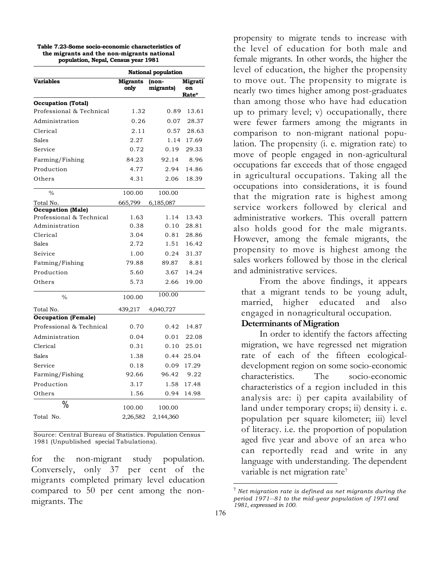| Table 7.23-Some socio-economic characteristics of |
|---------------------------------------------------|
| the migrants and the non-migrants national        |
| population, Nepal, Census year 1981               |

|                            | <b>National population</b> |                    |                               |  |  |
|----------------------------|----------------------------|--------------------|-------------------------------|--|--|
| <b>Variables</b>           | <b>Migrants</b><br>only    | (non-<br>migrants) | Migrati<br>on<br><b>Rate*</b> |  |  |
| <b>Occupation</b> (Total)  |                            |                    |                               |  |  |
| Professional & Technical   | 1.32                       | 0.89               | 13.61                         |  |  |
| Administration             | 0.26                       | 0.07               | 28.37                         |  |  |
| Clerical                   | 2.11                       | 0.57               | 28.63                         |  |  |
| Sales                      | 2.27                       | 1.14               | 17.69                         |  |  |
| Service                    | 0.72                       | 0.19               | 29.33                         |  |  |
| Farming/Fishing            | 84.23                      | 92.14              | 8.96                          |  |  |
| Production                 | 4.77                       | 2.94               | 14.86                         |  |  |
| Others                     | 4.31                       | 2.06               | 18.39                         |  |  |
| $\frac{0}{0}$              | 100.00                     | 100.00             |                               |  |  |
| Total No.                  | 665,799                    | 6,185,087          |                               |  |  |
| <b>Occupation</b> (Male)   |                            |                    |                               |  |  |
| Professional & Technical   | 1.63                       | 1.14               | 13.43                         |  |  |
| Administration             | 0.38                       | 0.10               | 28.81                         |  |  |
| Clerical                   | 3.04                       | 0.81               | 28.86                         |  |  |
| Sales                      | 2.72                       | 1.51               | 16.42                         |  |  |
| Seivice                    | 1.00                       | 0.24               | 31.37                         |  |  |
| Fatming/Fishing            | 79.88                      | 89.87              | 8.81                          |  |  |
| Production                 | 5.60                       | 3.67               | 14.24                         |  |  |
| Others                     | 5.73                       | 2.66               | 19.00                         |  |  |
| $\frac{0}{0}$              | 100.00                     | 100.00             |                               |  |  |
| Total No.                  | 439,217                    | 4,040,727          |                               |  |  |
| <b>Occupation (Female)</b> |                            |                    |                               |  |  |
| Professional & Technical   | 0.70                       | 0.42               | 14.87                         |  |  |
| Administration             | 0.04                       | 0.01               | 22.08                         |  |  |
| Clerical                   | 0.31                       | 0.10               | 25.01                         |  |  |
| Sales                      | 1.38                       | 0.44               | 25.04                         |  |  |
| Service                    | 0.18                       | 0.09               | 17.29                         |  |  |
| Farming/Fishing            | 92.66                      | 96.42              | 9.22                          |  |  |
| Production                 | 3.17                       | 1.58               | 17.48                         |  |  |
| Others                     | 1.56                       | 0.94               | 14.98                         |  |  |
| %                          | 100.00                     | 100.00             |                               |  |  |
| Total No.                  | 2,26,582                   | 2,144,360          |                               |  |  |

Source: Central Bureau of Statistics. Population Census 1981 (Unpublished special Tabulations).

for the non-migrant study population. Conversely, only 37 per cent of the migrants completed primary level education compared to 50 per cent among the nonmigrants. The

propensity to migrate tends to increase with the level of education for both male and female migrants. In other words, the higher the level of education, the higher the propensity to move out. The propensity to migrate is nearly two times higher among post-graduates than among those who have had education up to primary level; v) occupationally, there were fewer farmers among the migrants in comparison to non-migrant national population. The propensity (i. e. migration rate) to move of people engaged in non-agricultural occupations far exceeds that of those engaged in agricultural occupations. Taking all the occupations into considerations, it is found that the migration rate is highest among service workers followed by clerical and administrative workers. This overall pattern also holds good for the male migrants. However, among the female migrants, the propensity to move is highest among the sales workers followed by those in the clerical and administrative services.

From the above findings, it appears that a migrant tends to be young adult, married, higher educated and also engaged in nonagricultural occupation.

### Determinants of Migration

In order to identify the factors affecting migration, we have regressed net migration rate of each of the fifteen ecologicaldevelopment region on some socio-economic characteristics. The socio-economic characteristics of a region included in this analysis are: i) per capita availability of land under temporary crops; ii) density i. e. population per square kilometer; iii) level of literacy. i.e. the proportion of population aged five year and above of an area who can reportedly read and write in any language with understanding. The dependent variable is net migration rate<sup>7</sup>

 $7$  Net migration rate is defined as net migrants during the period 1971--81 to the mid-year population of 1971 and 1981, expressed in 100.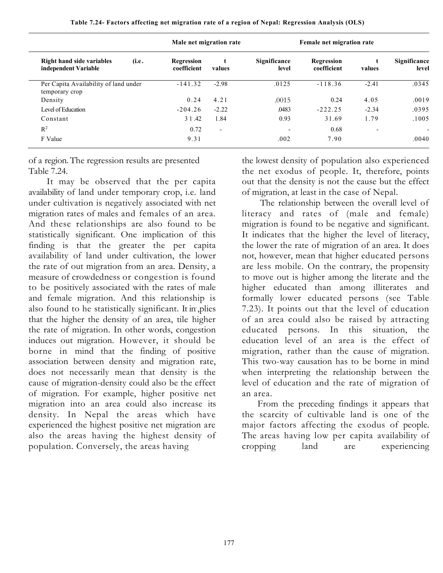|                                                            | Male net migration rate          |                          |                          |                           | Female net migration rate |                       |  |
|------------------------------------------------------------|----------------------------------|--------------------------|--------------------------|---------------------------|---------------------------|-----------------------|--|
| Right hand side variables<br>(i.e.<br>independent Variable | <b>Regression</b><br>coefficient | t<br>values              | Significance<br>level    | Regression<br>coefficient | values                    | Significance<br>level |  |
| Per Capita Availability of land under<br>temporary crop    | $-141.32$                        | $-2.98$                  | .0125                    | $-118.36$                 | $-2.41$                   | .0345                 |  |
| Density                                                    | 0.24                             | 4.21                     | .0015                    | 0.24                      | 4.05                      | .0019                 |  |
| Level of Education                                         | $-204.26$                        | $-2.22$                  | .0483                    | $-222.25$                 | $-2.34$                   | .0395                 |  |
| Constant                                                   | 3 1 .42                          | 1.84                     | 0.93                     | 31.69                     | 1.79                      | .1005                 |  |
| $R^2$                                                      | 0.72                             | $\overline{\phantom{0}}$ | $\overline{\phantom{a}}$ | 0.68                      |                           |                       |  |
| F Value                                                    | 9.31                             |                          | .002                     | 7.90                      |                           | .0040                 |  |

Table 7.24- Factors affecting net migration rate of a region of Nepal: Regression Analysis (OLS)

of a region. The regression results are presented Table 7.24.

It may be observed that the per capita availability of land under temporary crop, i.e. land under cultivation is negatively associated with net migration rates of males and females of an area. And these relationships are also found to be statistically significant. One implication of this finding is that the greater the per capita availability of land under cultivation, the lower the rate of out migration from an area. Density, a measure of crowdedness or congestion is found to be positively associated with the rates of male and female migration. And this relationship is also found to he statistically significant. It in- ,plies that the higher the density of an area, tile higher the rate of migration. In other words, congestion induces out migration. However, it should be borne in mind that the finding of positive association between density and migration rate, does not necessarily mean that density is the cause of migration-density could also be the effect of migration. For example, higher positive net migration into an area could also increase its density. In Nepal the areas which have experienced the highest positive net migration are also the areas having the highest density of population. Conversely, the areas having

the lowest density of population also experienced the net exodus of people. It, therefore, points out that the density is not the cause but the effect of migration, at least in the case of Nepal.

The relationship between the overall level of literacy and rates of (male and female) migration is found to be negative and significant. It indicates that the higher the level of literacy, the lower the rate of migration of an area. It does not, however, mean that higher educated persons are less mobile. On the contrary, the propensity to move out is higher among the literate and the higher educated than among illiterates and formally lower educated persons (see Table 7.23). It points out that the level of education of an area could also be raised by attracting educated persons. In this situation, the education level of an area is the effect of migration, rather than the cause of migration. This two-way causation has to be borne in mind when interpreting the relationship between the level of education and the rate of migration of an area.

From the preceding findings it appears that the scarcity of cultivable land is one of the major factors affecting the exodus of people. The areas having low per capita availability of cropping land are experiencing